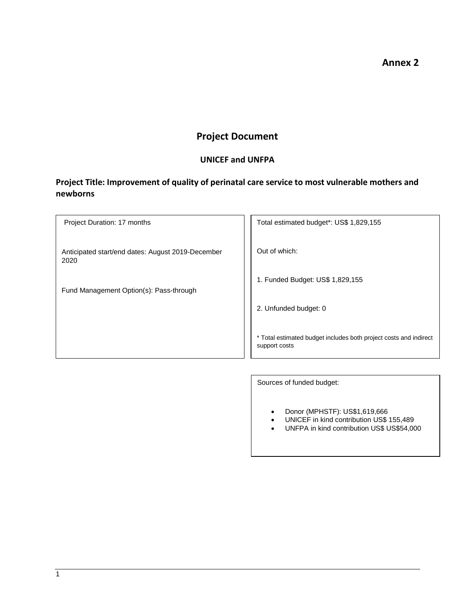## **Annex 2**

# **Project Document**

## **UNICEF and UNFPA**

# **Project Title: Improvement of quality of perinatal care service to most vulnerable mothers and newborns**

| Project Duration: 17 months                               | Total estimated budget*: US\$ 1,829,155                                            |
|-----------------------------------------------------------|------------------------------------------------------------------------------------|
| Anticipated start/end dates: August 2019-December<br>2020 | Out of which:                                                                      |
| Fund Management Option(s): Pass-through                   | 1. Funded Budget: US\$ 1,829,155                                                   |
|                                                           | 2. Unfunded budget: 0                                                              |
|                                                           | * Total estimated budget includes both project costs and indirect<br>support costs |
|                                                           |                                                                                    |

Sources of funded budget:

- Donor (MPHSTF): US\$1,619,666
- UNICEF in kind contribution US\$ 155,489
- UNFPA in kind contribution US\$ US\$54,000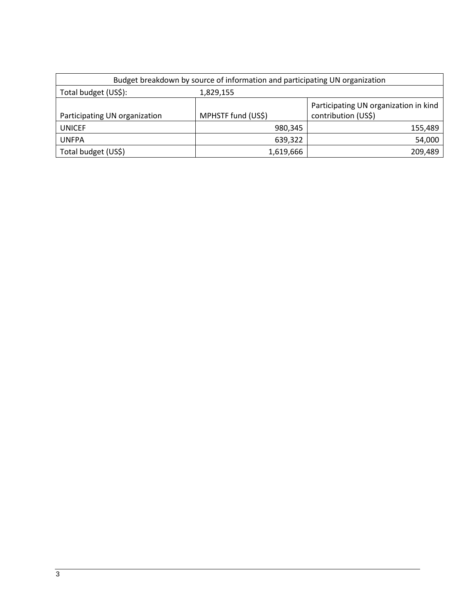| Budget breakdown by source of information and participating UN organization |                    |                                                              |  |  |  |  |  |  |
|-----------------------------------------------------------------------------|--------------------|--------------------------------------------------------------|--|--|--|--|--|--|
| Total budget (US\$):                                                        | 1,829,155          |                                                              |  |  |  |  |  |  |
| Participating UN organization                                               | MPHSTF fund (US\$) | Participating UN organization in kind<br>contribution (US\$) |  |  |  |  |  |  |
| <b>UNICEF</b>                                                               | 980,345            | 155,489                                                      |  |  |  |  |  |  |
|                                                                             |                    |                                                              |  |  |  |  |  |  |
| <b>UNFPA</b>                                                                | 639,322            | 54,000                                                       |  |  |  |  |  |  |
| Total budget (US\$)                                                         | 1,619,666          | 209,489                                                      |  |  |  |  |  |  |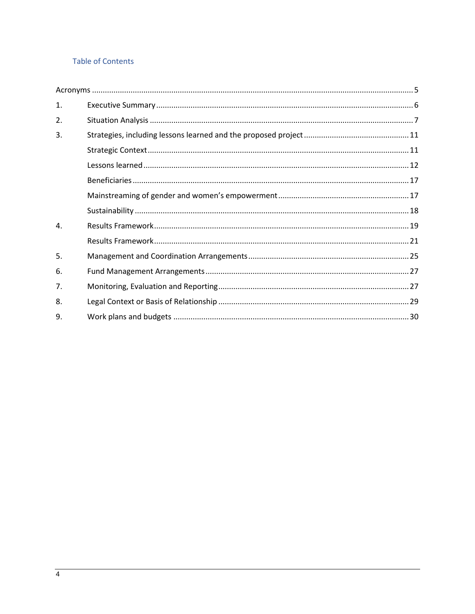## **Table of Contents**

<span id="page-2-0"></span>

| $\mathbf{1}$ . |  |
|----------------|--|
| 2.             |  |
| 3.             |  |
|                |  |
|                |  |
|                |  |
|                |  |
|                |  |
| 4.             |  |
|                |  |
| 5.             |  |
| 6.             |  |
| 7.             |  |
| 8.             |  |
| 9.             |  |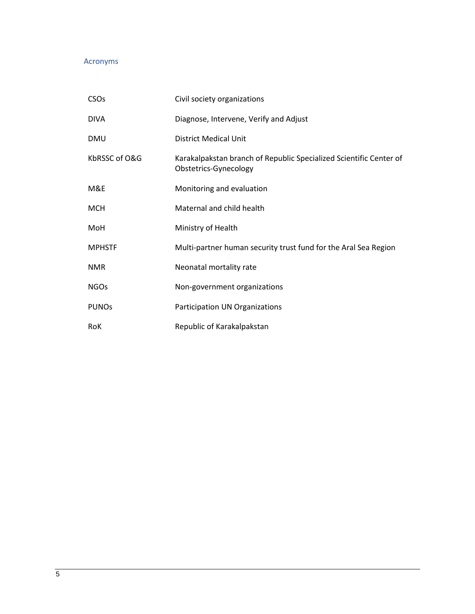## Acronyms

| <b>CSO<sub>s</sub></b> | Civil society organizations                                                                 |
|------------------------|---------------------------------------------------------------------------------------------|
| <b>DIVA</b>            | Diagnose, Intervene, Verify and Adjust                                                      |
| <b>DMU</b>             | <b>District Medical Unit</b>                                                                |
| KbRSSC of O&G          | Karakalpakstan branch of Republic Specialized Scientific Center of<br>Obstetrics-Gynecology |
| M&E                    | Monitoring and evaluation                                                                   |
| <b>MCH</b>             | Maternal and child health                                                                   |
| MoH                    | Ministry of Health                                                                          |
| <b>MPHSTF</b>          | Multi-partner human security trust fund for the Aral Sea Region                             |
| <b>NMR</b>             | Neonatal mortality rate                                                                     |
| <b>NGOs</b>            | Non-government organizations                                                                |
| <b>PUNOs</b>           | Participation UN Organizations                                                              |
| RoK                    | Republic of Karakalpakstan                                                                  |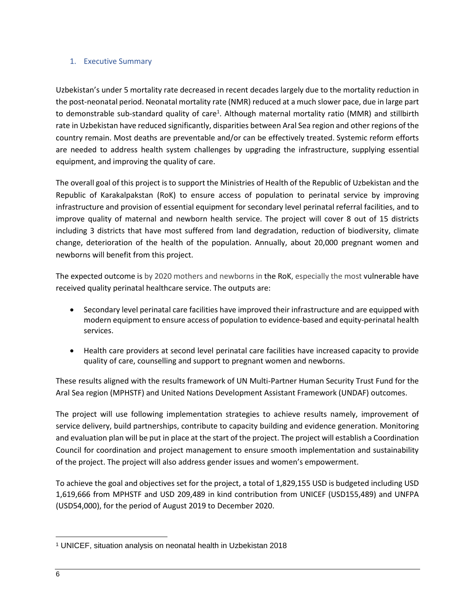### <span id="page-4-0"></span>1. Executive Summary

Uzbekistan's under 5 mortality rate decreased in recent decades largely due to the mortality reduction in the post-neonatal period. Neonatal mortality rate (NMR) reduced at a much slower pace, due in large part to demonstrable sub-standard quality of care<sup>1</sup>. Although maternal mortality ratio (MMR) and stillbirth rate in Uzbekistan have reduced significantly, disparities between Aral Sea region and other regions of the country remain. Most deaths are preventable and/or can be effectively treated. Systemic reform efforts are needed to address health system challenges by upgrading the infrastructure, supplying essential equipment, and improving the quality of care.

The overall goal of this project is to support the Ministries of Health of the Republic of Uzbekistan and the Republic of Karakalpakstan (RoK) to ensure access of population to perinatal service by improving infrastructure and provision of essential equipment for secondary level perinatal referral facilities, and to improve quality of maternal and newborn health service. The project will cover 8 out of 15 districts including 3 districts that have most suffered from land degradation, reduction of biodiversity, climate change, deterioration of the health of the population. Annually, about 20,000 pregnant women and newborns will benefit from this project.

The expected outcome is by 2020 mothers and newborns in the RoK, especially the most vulnerable have received quality perinatal healthcare service. The outputs are:

- Secondary level perinatal care facilities have improved their infrastructure and are equipped with modern equipment to ensure access of population to evidence-based and equity-perinatal health services.
- Health care providers at second level perinatal care facilities have increased capacity to provide quality of care, counselling and support to pregnant women and newborns.

These results aligned with the results framework of UN Multi-Partner Human Security Trust Fund for the Aral Sea region (MPHSTF) and United Nations Development Assistant Framework (UNDAF) outcomes.

The project will use following implementation strategies to achieve results namely, improvement of service delivery, build partnerships, contribute to capacity building and evidence generation. Monitoring and evaluation plan will be put in place at the start of the project. The project will establish a Coordination Council for coordination and project management to ensure smooth implementation and sustainability of the project. The project will also address gender issues and women's empowerment.

To achieve the goal and objectives set for the project, a total of 1,829,155 USD is budgeted including USD 1,619,666 from MPHSTF and USD 209,489 in kind contribution from UNICEF (USD155,489) and UNFPA (USD54,000), for the period of August 2019 to December 2020.

 $\overline{\phantom{a}}$ <sup>1</sup> UNICEF, situation analysis on neonatal health in Uzbekistan 2018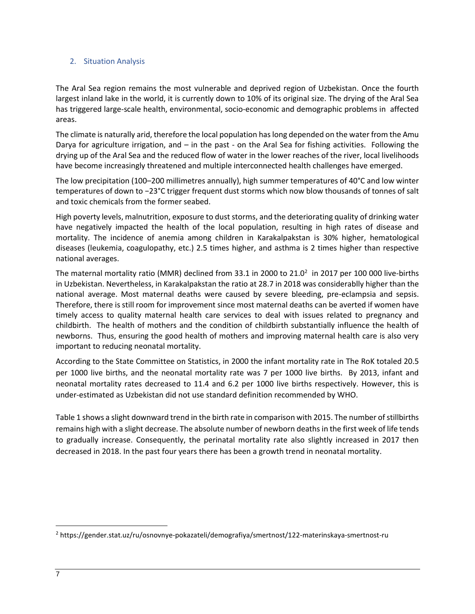### <span id="page-5-0"></span>2. Situation Analysis

The Aral Sea region remains the most vulnerable and deprived region of Uzbekistan. Once the fourth largest inland lake in the world, it is currently down to 10% of its original size. The drying of the Aral Sea has triggered large-scale health, environmental, socio-economic and demographic problems in affected areas.

The climate is naturally arid, therefore the local population has long depended on the water from the Amu Darya for agriculture irrigation, and – in the past - on the Aral Sea for fishing activities. Following the drying up of the Aral Sea and the reduced flow of water in the lower reaches of the river, local livelihoods have become increasingly threatened and multiple interconnected health challenges have emerged.

The low precipitation (100–200 millimetres annually), high summer temperatures of 40°C and low winter temperatures of down to −23°C trigger frequent dust storms which now blow thousands of tonnes of salt and toxic chemicals from the former seabed.

High poverty levels, malnutrition, exposure to dust storms, and the deteriorating quality of drinking water have negatively impacted the health of the local population, resulting in high rates of disease and mortality. The incidence of anemia among children in Karakalpakstan is 30% higher, hematological diseases (leukemia, coagulopathy, etc.) 2.5 times higher, and asthma is 2 times higher than respective national averages.

The maternal mortality ratio (MMR) declined from 33.1 in 2000 to 21.0<sup>2</sup> in 2017 per 100 000 live-births in Uzbekistan. Nevertheless, in Karakalpakstan the ratio at 28.7 in 2018 was considerablly higher than the national average. Most maternal deaths were caused by severe bleeding, pre-eclampsia and sepsis. Therefore, there is still room for improvement since most maternal deaths can be averted if women have timely access to quality maternal health care services to deal with issues related to pregnancy and childbirth. The health of mothers and the condition of childbirth substantially influence the health of newborns. Thus, ensuring the good health of mothers and improving maternal health care is also very important to reducing neonatal mortality.

According to the State Committee on Statistics, in 2000 the infant mortality rate in The RoK totaled 20.5 per 1000 live births, and the neonatal mortality rate was 7 per 1000 live births. By 2013, infant and neonatal mortality rates decreased to 11.4 and 6.2 per 1000 live births respectively. However, this is under-estimated as Uzbekistan did not use standard definition recommended by WHO.

Table 1 shows a slight downward trend in the birth rate in comparison with 2015. The number of stillbirths remains high with a slight decrease. The absolute number of newborn deaths in the first week of life tends to gradually increase. Consequently, the perinatal mortality rate also slightly increased in 2017 then decreased in 2018. In the past four years there has been a growth trend in neonatal mortality.

 $\overline{\phantom{a}}$ 

<sup>2</sup> https://gender.stat.uz/ru/osnovnye-pokazateli/demografiya/smertnost/122-materinskaya-smertnost-ru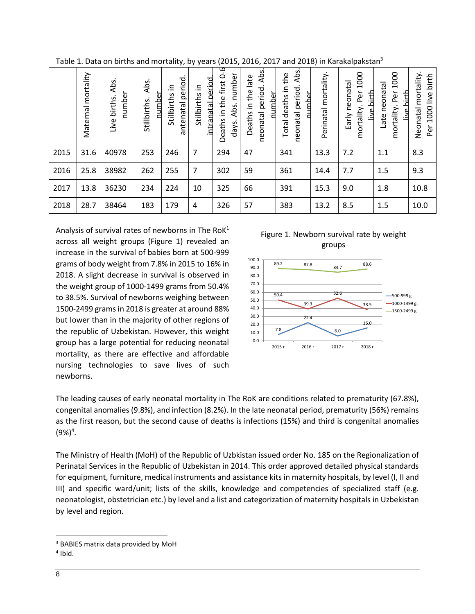|      | mortality<br>Maternal | Abs.<br>number<br>Live births. | Abs.<br>number<br>Stillbirths | period<br>르.<br>Stillbirths<br>antenatal | intranatal period<br>≘.<br>Stillbirths | Deaths in the first 0-6<br>number<br>Abs.<br>days. | Abs.<br>late<br>neonatal period.<br>Deaths in the<br>number | Abs.<br>the<br>neonatal period.<br>으.<br>numher<br>Total deaths | mortality<br>Perinatal | 1000<br>Early neonatal<br>live birth<br>Per<br>mortality. | 1000<br>Late neonatal<br>hirth<br>Per<br>mortality.<br>≝ | mortality<br>1000 live birth<br>Neonatal<br>Per |
|------|-----------------------|--------------------------------|-------------------------------|------------------------------------------|----------------------------------------|----------------------------------------------------|-------------------------------------------------------------|-----------------------------------------------------------------|------------------------|-----------------------------------------------------------|----------------------------------------------------------|-------------------------------------------------|
| 2015 | 31.6                  | 40978                          | 253                           | 246                                      | 7                                      | 294                                                | 47                                                          | 341                                                             | 13.3                   | 7.2                                                       | 1.1                                                      | 8.3                                             |
| 2016 | 25.8                  | 38982                          | 262                           | 255                                      | 7                                      | 302                                                | 59                                                          | 361                                                             | 14.4                   | 7.7                                                       | 1.5                                                      | 9.3                                             |
| 2017 | 13.8                  | 36230                          | 234                           | 224                                      | 10                                     | 325                                                | 66                                                          | 391                                                             | 15.3                   | 9.0                                                       | 1.8                                                      | 10.8                                            |
| 2018 | 28.7                  | 38464                          | 183                           | 179                                      | 4                                      | 326                                                | 57                                                          | 383                                                             | 13.2                   | 8.5                                                       | 1.5                                                      | 10.0                                            |

Table 1. Data on births and mortality, by years (2015, 2016, 2017 and 2018) in Karakalpakstan<sup>3</sup>

Analysis of survival rates of newborns in The Ro $K^1$ across all weight groups (Figure 1) revealed an increase in the survival of babies born at 500-999 grams of body weight from 7.8% in 2015 to 16% in 2018. A slight decrease in survival is observed in the weight group of 1000-1499 grams from 50.4% to 38.5%. Survival of newborns weighing between 1500-2499 grams in 2018 is greater at around 88% but lower than in the majority of other regions of the republic of Uzbekistan. However, this weight group has a large potential for reducing neonatal mortality, as there are effective and affordable nursing technologies to save lives of such newborns.





The leading causes of early neonatal mortality in The RoK are conditions related to prematurity (67.8%), congenital anomalies (9.8%), and infection (8.2%). In the late neonatal period, prematurity (56%) remains as the first reason, but the second cause of deaths is infections (15%) and third is congenital anomalies  $(9\%)^4$ .

The Ministry of Health (MoH) of the Republic of Uzbkistan issued order No. 185 on the Regionalization of Perinatal Services in the Republic of Uzbekistan in 2014. This order approved detailed physical standards for equipment, furniture, medical instruments and assistance kits in maternity hospitals, by level (I, II and III) and specific ward/unit; lists of the skills, knowledge and competencies of specialized staff (e.g. neonatologist, obstetrician etc.) by level and a list and categorization of maternity hospitals in Uzbekistan by level and region.

 $\overline{\phantom{a}}$ 

<sup>3</sup> BABIES matrix data provided by MoH

<sup>4</sup> Ibid.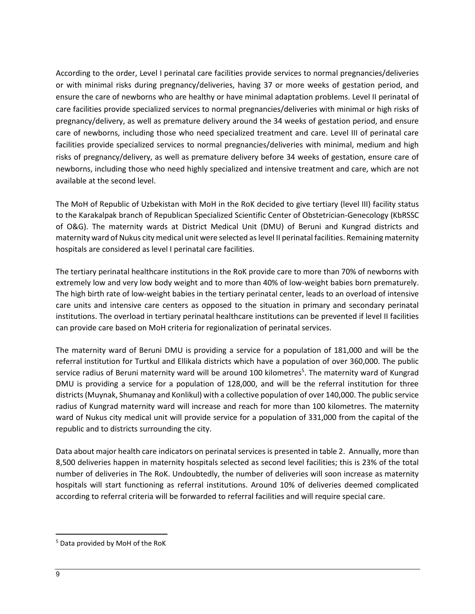According to the order, Level I perinatal care facilities provide services to normal pregnancies/deliveries or with minimal risks during pregnancy/deliveries, having 37 or more weeks of gestation period, and ensure the care of newborns who are healthy or have minimal adaptation problems. Level II perinatal of care facilities provide specialized services to normal pregnancies/deliveries with minimal or high risks of pregnancy/delivery, as well as premature delivery around the 34 weeks of gestation period, and ensure care of newborns, including those who need specialized treatment and care. Level III of perinatal care facilities provide specialized services to normal pregnancies/deliveries with minimal, medium and high risks of pregnancy/delivery, as well as premature delivery before 34 weeks of gestation, ensure care of newborns, including those who need highly specialized and intensive treatment and care, which are not available at the second level.

The MoH of Republic of Uzbekistan with MoH in the RoK decided to give tertiary (level III) facility status to the Karakalpak branch of Republican Specialized Scientific Center of Obstetrician-Genecology (KbRSSC of O&G). The maternity wards at District Medical Unit (DMU) of Beruni and Kungrad districts and maternity ward of Nukus city medical unit were selected as level II perinatal facilities. Remaining maternity hospitals are considered as level I perinatal care facilities.

The tertiary perinatal healthcare institutions in the RoK provide care to more than 70% of newborns with extremely low and very low body weight and to more than 40% of low-weight babies born prematurely. The high birth rate of low-weight babies in the tertiary perinatal center, leads to an overload of intensive care units and intensive care centers as opposed to the situation in primary and secondary perinatal institutions. The overload in tertiary perinatal healthcare institutions can be prevented if level II facilities can provide care based on MoH criteria for regionalization of perinatal services.

The maternity ward of Beruni DMU is providing a service for a population of 181,000 and will be the referral institution for Turtkul and Ellikala districts which have a population of over 360,000. The public service radius of Beruni maternity ward will be around 100 kilometres<sup>5</sup>. The maternity ward of Kungrad DMU is providing a service for a population of 128,000, and will be the referral institution for three districts (Muynak, Shumanay and Konlikul) with a collective population of over 140,000. The public service radius of Kungrad maternity ward will increase and reach for more than 100 kilometres. The maternity ward of Nukus city medical unit will provide service for a population of 331,000 from the capital of the republic and to districts surrounding the city.

Data about major health care indicators on perinatal services is presented in table 2. Annually, more than 8,500 deliveries happen in maternity hospitals selected as second level facilities; this is 23% of the total number of deliveries in The RoK. Undoubtedly, the number of deliveries will soon increase as maternity hospitals will start functioning as referral institutions. Around 10% of deliveries deemed complicated according to referral criteria will be forwarded to referral facilities and will require special care.

 $\overline{a}$ 

<sup>5</sup> Data provided by MoH of the RoK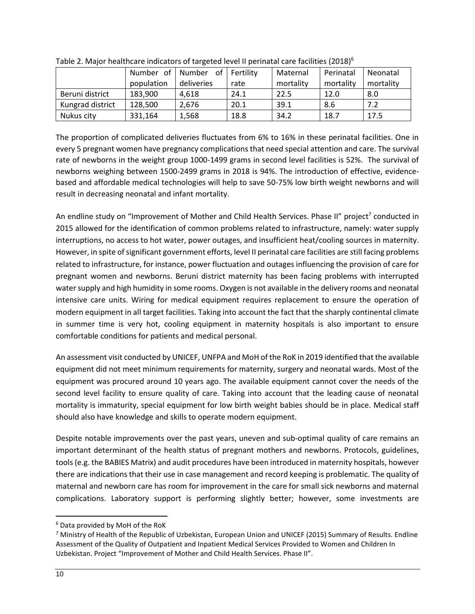|                  | Number of  | of<br>Number | l Fertility | Maternal  | Perinatal | Neonatal  |
|------------------|------------|--------------|-------------|-----------|-----------|-----------|
|                  | population | deliveries   | rate        | mortality | mortality | mortality |
| Beruni district  | 183,900    | 4.618        | 24.1        | 22.5      | 12.0      | 8.0       |
| Kungrad district | 128,500    | 2,676        | 20.1        | 39.1      | 8.6       | 7.2       |
| Nukus city       | 331,164    | 1,568        | 18.8        | 34.2      | 18.7      | 17.5      |

Table 2. Major healthcare indicators of targeted level II perinatal care facilities (2018)<sup>6</sup>

The proportion of complicated deliveries fluctuates from 6% to 16% in these perinatal facilities. One in every 5 pregnant women have pregnancy complications that need special attention and care. The survival rate of newborns in the weight group 1000-1499 grams in second level facilities is 52%. The survival of newborns weighing between 1500-2499 grams in 2018 is 94%. The introduction of effective, evidencebased and affordable medical technologies will help to save 50-75% low birth weight newborns and will result in decreasing neonatal and infant mortality.

An endline study on "Improvement of Mother and Child Health Services. Phase II" project<sup>7</sup> conducted in 2015 allowed for the identification of common problems related to infrastructure, namely: water supply interruptions, no access to hot water, power outages, and insufficient heat/cooling sources in maternity. However, in spite of significant government efforts, level II perinatal care facilities are still facing problems related to infrastructure, for instance, power fluctuation and outages influencing the provision of care for pregnant women and newborns. Beruni district maternity has been facing problems with interrupted water supply and high humidity in some rooms. Oxygen is not available in the delivery rooms and neonatal intensive care units. Wiring for medical equipment requires replacement to ensure the operation of modern equipment in all target facilities. Taking into account the fact that the sharply continental climate in summer time is very hot, cooling equipment in maternity hospitals is also important to ensure comfortable conditions for patients and medical personal.

An assessment visit conducted by UNICEF, UNFPA and MoH of the RoK in 2019 identified that the available equipment did not meet minimum requirements for maternity, surgery and neonatal wards. Most of the equipment was procured around 10 years ago. The available equipment cannot cover the needs of the second level facility to ensure quality of care. Taking into account that the leading cause of neonatal mortality is immaturity, special equipment for low birth weight babies should be in place. Medical staff should also have knowledge and skills to operate modern equipment.

Despite notable improvements over the past years, uneven and sub-optimal quality of care remains an important determinant of the health status of pregnant mothers and newborns. Protocols, guidelines, tools (e.g. the BABIES Matrix) and audit procedures have been introduced in maternity hospitals, however there are indications that their use in case management and record keeping is problematic. The quality of maternal and newborn care has room for improvement in the care for small sick newborns and maternal complications. Laboratory support is performing slightly better; however, some investments are

l <sup>6</sup> Data provided by MoH of the RoK

<sup>7</sup> Ministry of Health of the Republic of Uzbekistan, European Union and UNICEF (2015) Summary of Results. Endline Assessment of the Quality of Outpatient and Inpatient Medical Services Provided to Women and Children In Uzbekistan. Project "Improvement of Mother and Child Health Services. Phase II".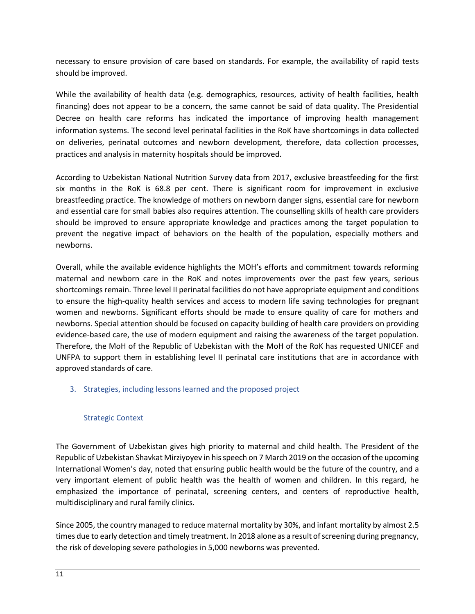necessary to ensure provision of care based on standards. For example, the availability of rapid tests should be improved.

While the availability of health data (e.g. demographics, resources, activity of health facilities, health financing) does not appear to be a concern, the same cannot be said of data quality. The Presidential Decree on health care reforms has indicated the importance of improving health management information systems. The second level perinatal facilities in the RoK have shortcomings in data collected on deliveries, perinatal outcomes and newborn development, therefore, data collection processes, practices and analysis in maternity hospitals should be improved.

According to Uzbekistan National Nutrition Survey data from 2017, exclusive breastfeeding for the first six months in the RoK is 68.8 per cent. There is significant room for improvement in exclusive breastfeeding practice. The knowledge of mothers on newborn danger signs, essential care for newborn and essential care for small babies also requires attention. The counselling skills of health care providers should be improved to ensure appropriate knowledge and practices among the target population to prevent the negative impact of behaviors on the health of the population, especially mothers and newborns.

Overall, while the available evidence highlights the MOH's efforts and commitment towards reforming maternal and newborn care in the RoK and notes improvements over the past few years, serious shortcomings remain. Three level II perinatal facilities do not have appropriate equipment and conditions to ensure the high-quality health services and access to modern life saving technologies for pregnant women and newborns. Significant efforts should be made to ensure quality of care for mothers and newborns. Special attention should be focused on capacity building of health care providers on providing evidence-based care, the use of modern equipment and raising the awareness of the target population. Therefore, the MoH of the Republic of Uzbekistan with the MoH of the RoK has requested UNICEF and UNFPA to support them in establishing level II perinatal care institutions that are in accordance with approved standards of care.

## <span id="page-9-0"></span>3. Strategies, including lessons learned and the proposed project

#### Strategic Context

<span id="page-9-1"></span>The Government of Uzbekistan gives high priority to maternal and child health. The President of the Republic of Uzbekistan Shavkat Mirziyoyev in his speech on 7 March 2019 on the occasion of the upcoming International Women's day, noted that ensuring public health would be the future of the country, and a very important element of public health was the health of women and children. In this regard, he emphasized the importance of perinatal, screening centers, and centers of reproductive health, multidisciplinary and rural family clinics.

Since 2005, the country managed to reduce maternal mortality by 30%, and infant mortality by almost 2.5 times due to early detection and timely treatment. In 2018 alone as a result of screening during pregnancy, the risk of developing severe pathologies in 5,000 newborns was prevented.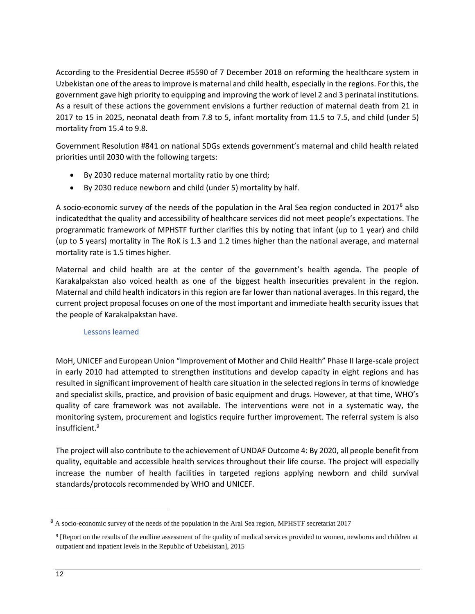According to the Presidential Decree #5590 of 7 December 2018 on reforming the healthcare system in Uzbekistan one of the areas to improve is maternal and child health, especially in the regions. For this, the government gave high priority to equipping and improving the work of level 2 and 3 perinatal institutions. As a result of these actions the government envisions a further reduction of maternal death from 21 in 2017 to 15 in 2025, neonatal death from 7.8 to 5, infant mortality from 11.5 to 7.5, and child (under 5) mortality from 15.4 to 9.8.

Government Resolution #841 on national SDGs extends government's maternal and child health related priorities until 2030 with the following targets:

- By 2030 reduce maternal mortality ratio by one third;
- By 2030 reduce newborn and child (under 5) mortality by half.

A socio-economic survey of the needs of the population in the Aral Sea region conducted in  $2017<sup>8</sup>$  also indicatedthat the quality and accessibility of healthcare services did not meet people's expectations. The programmatic framework of MPHSTF further clarifies this by noting that infant (up to 1 year) and child (up to 5 years) mortality in The RoK is 1.3 and 1.2 times higher than the national average, and maternal mortality rate is 1.5 times higher.

Maternal and child health are at the center of the government's health agenda. The people of Karakalpakstan also voiced health as one of the biggest health insecurities prevalent in the region. Maternal and child health indicators in this region are far lower than national averages. In this regard, the current project proposal focuses on one of the most important and immediate health security issues that the people of Karakalpakstan have.

## Lessons learned

<span id="page-10-0"></span>MoH, UNICEF and European Union "Improvement of Mother and Child Health" Phase II large-scale project in early 2010 had attempted to strengthen institutions and develop capacity in eight regions and has resulted in significant improvement of health care situation in the selected regions in terms of knowledge and specialist skills, practice, and provision of basic equipment and drugs. However, at that time, WHO's quality of care framework was not available. The interventions were not in a systematic way, the monitoring system, procurement and logistics require further improvement. The referral system is also insufficient.<sup>9</sup>

The project will also contribute to the achievement of UNDAF Outcome 4: By 2020, all people benefit from quality, equitable and accessible health services throughout their life course. The project will especially increase the number of health facilities in targeted regions applying newborn and child survival standards/protocols recommended by WHO and UNICEF.

 $\overline{\phantom{a}}$ 

<sup>&</sup>lt;sup>8</sup> A socio-economic survey of the needs of the population in the Aral Sea region, MPHSTF secretariat 2017

<sup>&</sup>lt;sup>9</sup> [Report on the results of the endline assessment of the quality of medical services provided to women, newborns and children at outpatient and inpatient levels in the Republic of Uzbekistan], 2015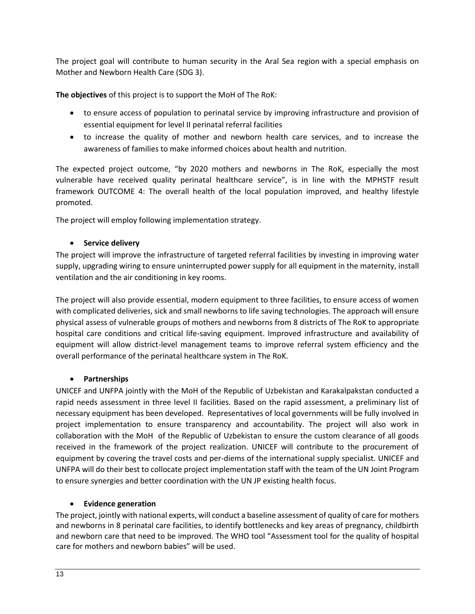The project goal will contribute to human security in the Aral Sea region with a special emphasis on Mother and Newborn Health Care (SDG 3).

**The objectives** of this project is to support the MoH of The RoK:

- to ensure access of population to perinatal service by improving infrastructure and provision of essential equipment for level II perinatal referral facilities
- to increase the quality of mother and newborn health care services, and to increase the awareness of families to make informed choices about health and nutrition.

The expected project outcome, "by 2020 mothers and newborns in The RoK, especially the most vulnerable have received quality perinatal healthcare service", is in line with the MPHSTF result framework OUTCOME 4: The overall health of the local population improved, and healthy lifestyle promoted.

The project will employ following implementation strategy.

## • **Service delivery**

The project will improve the infrastructure of targeted referral facilities by investing in improving water supply, upgrading wiring to ensure uninterrupted power supply for all equipment in the maternity, install ventilation and the air conditioning in key rooms.

The project will also provide essential, modern equipment to three facilities, to ensure access of women with complicated deliveries, sick and small newborns to life saving technologies. The approach will ensure physical assess of vulnerable groups of mothers and newborns from 8 districts of The RoK to appropriate hospital care conditions and critical life-saving equipment. Improved infrastructure and availability of equipment will allow district-level management teams to improve referral system efficiency and the overall performance of the perinatal healthcare system in The RoK.

## • **Partnerships**

UNICEF and UNFPA jointly with the MoH of the Republic of Uzbekistan and Karakalpakstan conducted a rapid needs assessment in three level II facilities. Based on the rapid assessment, a preliminary list of necessary equipment has been developed. Representatives of local governments will be fully involved in project implementation to ensure transparency and accountability. The project will also work in collaboration with the MoH of the Republic of Uzbekistan to ensure the custom clearance of all goods received in the framework of the project realization. UNICEF will contribute to the procurement of equipment by covering the travel costs and per-diems of the international supply specialist. UNICEF and UNFPA will do their best to collocate project implementation staff with the team of the UN Joint Program to ensure synergies and better coordination with the UN JP existing health focus.

## • **Evidence generation**

The project, jointly with national experts, will conduct a baseline assessment of quality of care for mothers and newborns in 8 perinatal care facilities, to identify bottlenecks and key areas of pregnancy, childbirth and newborn care that need to be improved. The WHO tool "Assessment tool for the quality of hospital care for mothers and newborn babies" will be used.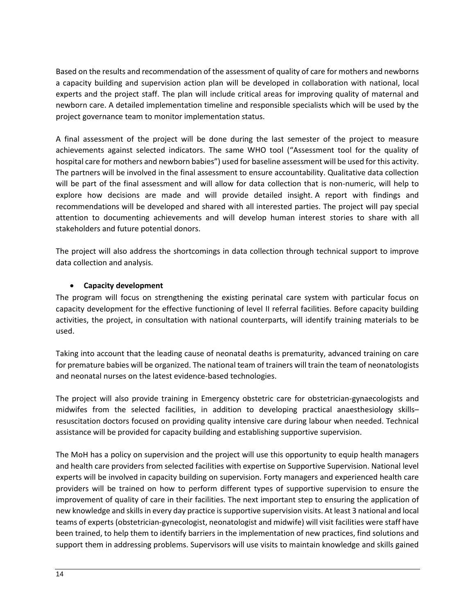Based on the results and recommendation of the assessment of quality of care for mothers and newborns a capacity building and supervision action plan will be developed in collaboration with national, local experts and the project staff. The plan will include critical areas for improving quality of maternal and newborn care. A detailed implementation timeline and responsible specialists which will be used by the project governance team to monitor implementation status.

A final assessment of the project will be done during the last semester of the project to measure achievements against selected indicators. The same WHO tool ("Assessment tool for the quality of hospital care for mothers and newborn babies") used for baseline assessment will be used for this activity. The partners will be involved in the final assessment to ensure accountability. Qualitative data collection will be part of the final assessment and will allow for data collection that is non-numeric, will help to explore how decisions are made and will provide detailed insight. A report with findings and recommendations will be developed and shared with all interested parties. The project will pay special attention to documenting achievements and will develop human interest stories to share with all stakeholders and future potential donors.

The project will also address the shortcomings in data collection through technical support to improve data collection and analysis.

## • **Capacity development**

The program will focus on strengthening the existing perinatal care system with particular focus on capacity development for the effective functioning of level II referral facilities. Before capacity building activities, the project, in consultation with national counterparts, will identify training materials to be used.

Taking into account that the leading cause of neonatal deaths is prematurity, advanced training on care for premature babies will be organized. The national team of trainers will train the team of neonatologists and neonatal nurses on the latest evidence-based technologies.

The project will also provide training in Emergency obstetric care for obstetrician-gynaecologists and midwifes from the selected facilities, in addition to developing practical anaesthesiology skills– resuscitation doctors focused on providing quality intensive care during labour when needed. Technical assistance will be provided for capacity building and establishing supportive supervision.

The MoH has a policy on supervision and the project will use this opportunity to equip health managers and health care providers from selected facilities with expertise on Supportive Supervision. National level experts will be involved in capacity building on supervision. Forty managers and experienced health care providers will be trained on how to perform different types of supportive supervision to ensure the improvement of quality of care in their facilities. The next important step to ensuring the application of new knowledge and skills in every day practice is supportive supervision visits. At least 3 national and local teams of experts (obstetrician-gynecologist, neonatologist and midwife) will visit facilities were staff have been trained, to help them to identify barriers in the implementation of new practices, find solutions and support them in addressing problems. Supervisors will use visits to maintain knowledge and skills gained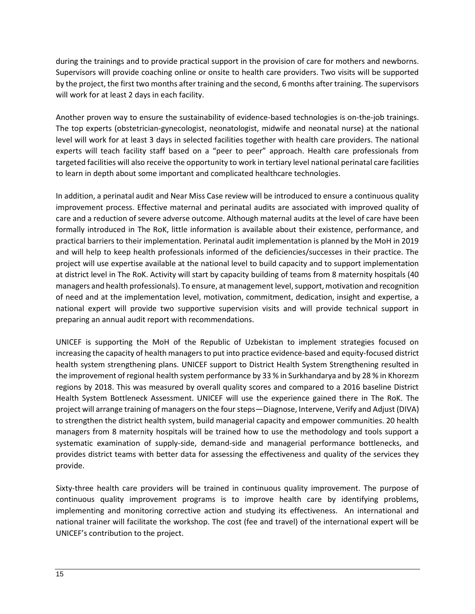during the trainings and to provide practical support in the provision of care for mothers and newborns. Supervisors will provide coaching online or onsite to health care providers. Two visits will be supported by the project, the first two months after training and the second, 6 months after training. The supervisors will work for at least 2 days in each facility.

Another proven way to ensure the sustainability of evidence-based technologies is on-the-job trainings. The top experts (obstetrician-gynecologist, neonatologist, midwife and neonatal nurse) at the national level will work for at least 3 days in selected facilities together with health care providers. The national experts will teach facility staff based on a "peer to peer" approach. Health care professionals from targeted facilities will also receive the opportunity to work in tertiary level national perinatal care facilities to learn in depth about some important and complicated healthcare technologies.

In addition, a perinatal audit and Near Miss Case review will be introduced to ensure a continuous quality improvement process. Effective maternal and perinatal audits are associated with improved quality of care and a reduction of severe adverse outcome. Although maternal audits at the level of care have been formally introduced in The RoK, little information is available about their existence, performance, and practical barriers to their implementation. Perinatal audit implementation is planned by the MoH in 2019 and will help to keep health professionals informed of the deficiencies/successes in their practice. The project will use expertise available at the national level to build capacity and to support implementation at district level in The RoK. Activity will start by capacity building of teams from 8 maternity hospitals (40 managers and health professionals). To ensure, at management level, support, motivation and recognition of need and at the implementation level, motivation, commitment, dedication, insight and expertise, a national expert will provide two supportive supervision visits and will provide technical support in preparing an annual audit report with recommendations.

UNICEF is supporting the MoH of the Republic of Uzbekistan to implement strategies focused on increasing the capacity of health managers to put into practice evidence-based and equity-focused district health system strengthening plans. UNICEF support to District Health System Strengthening resulted in the improvement of regional health system performance by 33 % in Surkhandarya and by 28 % in Khorezm regions by 2018. This was measured by overall quality scores and compared to a 2016 baseline District Health System Bottleneck Assessment. UNICEF will use the experience gained there in The RoK. The project will arrange training of managers on the four steps—Diagnose, Intervene, Verify and Adjust (DIVA) to strengthen the district health system, build managerial capacity and empower communities. 20 health managers from 8 maternity hospitals will be trained how to use the methodology and tools support a systematic examination of supply-side, demand-side and managerial performance bottlenecks, and provides district teams with better data for assessing the effectiveness and quality of the services they provide.

Sixty-three health care providers will be trained in continuous quality improvement. The purpose of continuous quality improvement programs is to improve health care by identifying problems, implementing and monitoring corrective action and studying its effectiveness. An international and national trainer will facilitate the workshop. The cost (fee and travel) of the international expert will be UNICEF's contribution to the project.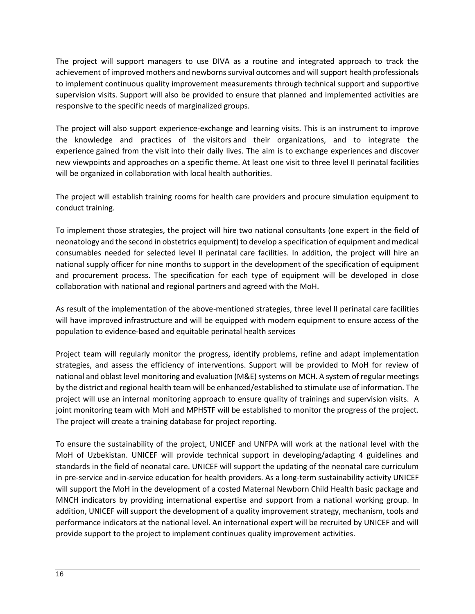The project will support managers to use DIVA as a routine and integrated approach to track the achievement of improved mothers and newborns survival outcomes and will support health professionals to implement continuous quality improvement measurements through technical support and supportive supervision visits. Support will also be provided to ensure that planned and implemented activities are responsive to the specific needs of marginalized groups.

The project will also support experience-exchange and learning visits. This is an instrument to improve the knowledge and practices of the visitors and their organizations, and to integrate the experience gained from the visit into their daily lives. The aim is to exchange experiences and discover new viewpoints and approaches on a specific theme. At least one visit to three level II perinatal facilities will be organized in collaboration with local health authorities.

The project will establish training rooms for health care providers and procure simulation equipment to conduct training.

To implement those strategies, the project will hire two national consultants (one expert in the field of neonatology and the second in obstetrics equipment) to develop a specification of equipment and medical consumables needed for selected level II perinatal care facilities. In addition, the project will hire an national supply officer for nine months to support in the development of the specification of equipment and procurement process. The specification for each type of equipment will be developed in close collaboration with national and regional partners and agreed with the MoH.

As result of the implementation of the above-mentioned strategies, three level II perinatal care facilities will have improved infrastructure and will be equipped with modern equipment to ensure access of the population to evidence-based and equitable perinatal health services

Project team will regularly monitor the progress, identify problems, refine and adapt implementation strategies, and assess the efficiency of interventions. Support will be provided to MoH for review of national and oblast level monitoring and evaluation (M&E) systems on MCH. A system of regular meetings by the district and regional health team will be enhanced/established to stimulate use of information. The project will use an internal monitoring approach to ensure quality of trainings and supervision visits. A joint monitoring team with MoH and MPHSTF will be established to monitor the progress of the project. The project will create a training database for project reporting.

To ensure the sustainability of the project, UNICEF and UNFPA will work at the national level with the MoH of Uzbekistan. UNICEF will provide technical support in developing/adapting 4 guidelines and standards in the field of neonatal care. UNICEF will support the updating of the neonatal care curriculum in pre-service and in-service education for health providers. As a long-term sustainability activity UNICEF will support the MoH in the development of a costed Maternal Newborn Child Health basic package and MNCH indicators by providing international expertise and support from a national working group. In addition, UNICEF will support the development of a quality improvement strategy, mechanism, tools and performance indicators at the national level. An international expert will be recruited by UNICEF and will provide support to the project to implement continues quality improvement activities.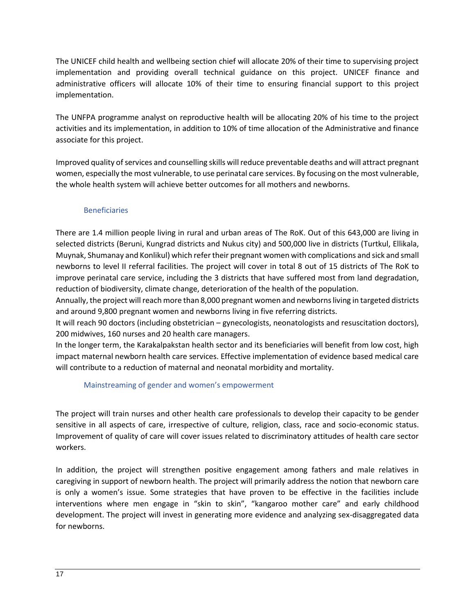The UNICEF child health and wellbeing section chief will allocate 20% of their time to supervising project implementation and providing overall technical guidance on this project. UNICEF finance and administrative officers will allocate 10% of their time to ensuring financial support to this project implementation.

The UNFPA programme analyst on reproductive health will be allocating 20% of his time to the project activities and its implementation, in addition to 10% of time allocation of the Administrative and finance associate for this project.

Improved quality of services and counselling skills will reduce preventable deaths and will attract pregnant women, especially the most vulnerable, to use perinatal care services. By focusing on the most vulnerable, the whole health system will achieve better outcomes for all mothers and newborns.

### Beneficiaries

<span id="page-15-0"></span>There are 1.4 million people living in rural and urban areas of The RoK. Out of this 643,000 are living in selected districts (Beruni, Kungrad districts and Nukus city) and 500,000 live in districts (Turtkul, Ellikala, Muynak, Shumanay and Konlikul) which refer their pregnant women with complications and sick and small newborns to level II referral facilities. The project will cover in total 8 out of 15 districts of The RoK to improve perinatal care service, including the 3 districts that have suffered most from land degradation, reduction of biodiversity, climate change, deterioration of the health of the population.

Annually, the project will reach more than 8,000 pregnant women and newborns living in targeted districts and around 9,800 pregnant women and newborns living in five referring districts.

It will reach 90 doctors (including obstetrician – gynecologists, neonatologists and resuscitation doctors), 200 midwives, 160 nurses and 20 health care managers.

In the longer term, the Karakalpakstan health sector and its beneficiaries will benefit from low cost, high impact maternal newborn health care services. Effective implementation of evidence based medical care will contribute to a reduction of maternal and neonatal morbidity and mortality.

#### Mainstreaming of gender and women's empowerment

<span id="page-15-1"></span>The project will train nurses and other health care professionals to develop their capacity to be gender sensitive in all aspects of care, irrespective of culture, religion, class, race and socio-economic status. Improvement of quality of care will cover issues related to discriminatory attitudes of health care sector workers.

In addition, the project will strengthen positive engagement among fathers and male relatives in caregiving in support of newborn health. The project will primarily address the notion that newborn care is only a women's issue. Some strategies that have proven to be effective in the facilities include interventions where men engage in "skin to skin", "kangaroo mother care" and early childhood development. The project will invest in generating more evidence and analyzing sex-disaggregated data for newborns.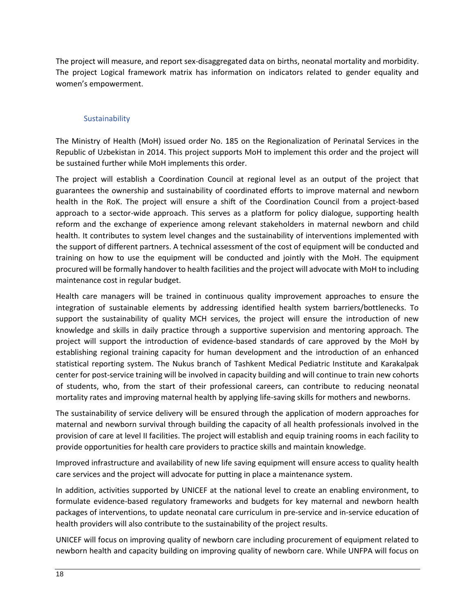The project will measure, and report sex-disaggregated data on births, neonatal mortality and morbidity. The project Logical framework matrix has information on indicators related to gender equality and women's empowerment.

### Sustainability

<span id="page-16-0"></span>The Ministry of Health (MoH) issued order No. 185 on the Regionalization of Perinatal Services in the Republic of Uzbekistan in 2014. This project supports MoH to implement this order and the project will be sustained further while MoH implements this order.

The project will establish a Coordination Council at regional level as an output of the project that guarantees the ownership and sustainability of coordinated efforts to improve maternal and newborn health in the RoK. The project will ensure a shift of the Coordination Council from a project-based approach to a sector-wide approach. This serves as a platform for policy dialogue, supporting health reform and the exchange of experience among relevant stakeholders in maternal newborn and child health. It contributes to system level changes and the sustainability of interventions implemented with the support of different partners. A technical assessment of the cost of equipment will be conducted and training on how to use the equipment will be conducted and jointly with the MoH. The equipment procured will be formally handover to health facilities and the project will advocate with MoH to including maintenance cost in regular budget.

Health care managers will be trained in continuous quality improvement approaches to ensure the integration of sustainable elements by addressing identified health system barriers/bottlenecks. To support the sustainability of quality MCH services, the project will ensure the introduction of new knowledge and skills in daily practice through a supportive supervision and mentoring approach. The project will support the introduction of evidence-based standards of care approved by the MoH by establishing regional training capacity for human development and the introduction of an enhanced statistical reporting system. The Nukus branch of Tashkent Medical Pediatric Institute and Karakalpak center for post-service training will be involved in capacity building and will continue to train new cohorts of students, who, from the start of their professional careers, can contribute to reducing neonatal mortality rates and improving maternal health by applying life-saving skills for mothers and newborns.

The sustainability of service delivery will be ensured through the application of modern approaches for maternal and newborn survival through building the capacity of all health professionals involved in the provision of care at level II facilities. The project will establish and equip training rooms in each facility to provide opportunities for health care providers to practice skills and maintain knowledge.

Improved infrastructure and availability of new life saving equipment will ensure access to quality health care services and the project will advocate for putting in place a maintenance system.

In addition, activities supported by UNICEF at the national level to create an enabling environment, to formulate evidence-based regulatory frameworks and budgets for key maternal and newborn health packages of interventions, to update neonatal care curriculum in pre-service and in-service education of health providers will also contribute to the sustainability of the project results.

UNICEF will focus on improving quality of newborn care including procurement of equipment related to newborn health and capacity building on improving quality of newborn care. While UNFPA will focus on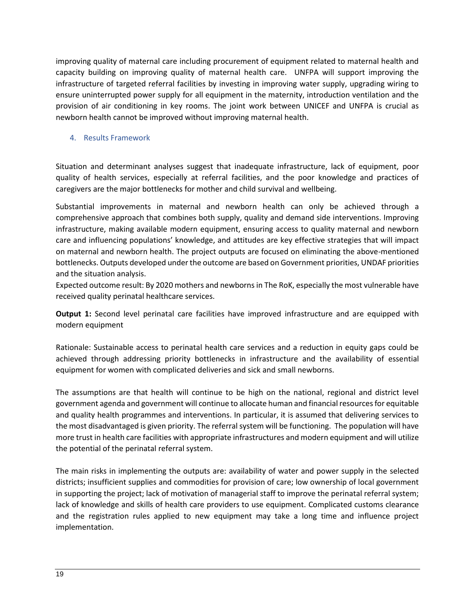improving quality of maternal care including procurement of equipment related to maternal health and capacity building on improving quality of maternal health care. UNFPA will support improving the infrastructure of targeted referral facilities by investing in improving water supply, upgrading wiring to ensure uninterrupted power supply for all equipment in the maternity, introduction ventilation and the provision of air conditioning in key rooms. The joint work between UNICEF and UNFPA is crucial as newborn health cannot be improved without improving maternal health.

### <span id="page-17-0"></span>4. Results Framework

Situation and determinant analyses suggest that inadequate infrastructure, lack of equipment, poor quality of health services, especially at referral facilities, and the poor knowledge and practices of caregivers are the major bottlenecks for mother and child survival and wellbeing.

Substantial improvements in maternal and newborn health can only be achieved through a comprehensive approach that combines both supply, quality and demand side interventions. Improving infrastructure, making available modern equipment, ensuring access to quality maternal and newborn care and influencing populations' knowledge, and attitudes are key effective strategies that will impact on maternal and newborn health. The project outputs are focused on eliminating the above-mentioned bottlenecks. Outputs developed under the outcome are based on Government priorities, UNDAF priorities and the situation analysis.

Expected outcome result: By 2020 mothers and newborns in The RoK, especially the most vulnerable have received quality perinatal healthcare services.

**Output 1:** Second level perinatal care facilities have improved infrastructure and are equipped with modern equipment

Rationale: Sustainable access to perinatal health care services and a reduction in equity gaps could be achieved through addressing priority bottlenecks in infrastructure and the availability of essential equipment for women with complicated deliveries and sick and small newborns.

The assumptions are that health will continue to be high on the national, regional and district level government agenda and government will continue to allocate human and financial resources for equitable and quality health programmes and interventions. In particular, it is assumed that delivering services to the most disadvantaged is given priority. The referral system will be functioning. The population will have more trust in health care facilities with appropriate infrastructures and modern equipment and will utilize the potential of the perinatal referral system.

The main risks in implementing the outputs are: availability of water and power supply in the selected districts; insufficient supplies and commodities for provision of care; low ownership of local government in supporting the project; lack of motivation of managerial staff to improve the perinatal referral system; lack of knowledge and skills of health care providers to use equipment. Complicated customs clearance and the registration rules applied to new equipment may take a long time and influence project implementation.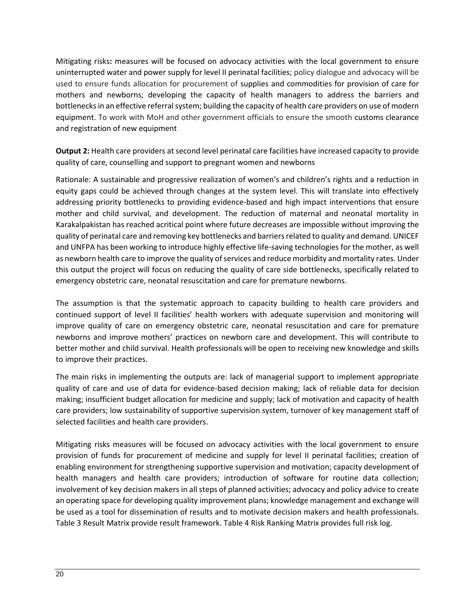Mitigating risks**:** measures will be focused on advocacy activities with the local government to ensure uninterrupted water and power supply for level II perinatal facilities; policy dialogue and advocacy will be used to ensure funds allocation for procurement of supplies and commodities for provision of care for mothers and newborns; developing the capacity of health managers to address the barriers and bottlenecks in an effective referral system; building the capacity of health care providers on use of modern equipment. To work with MoH and other government officials to ensure the smooth customs clearance and registration of new equipment

**Output 2:** Health care providers at second level perinatal care facilities have increased capacity to provide quality of care, counselling and support to pregnant women and newborns

Rationale: A sustainable and progressive realization of women's and children's rights and a reduction in equity gaps could be achieved through changes at the system level. This will translate into effectively addressing priority bottlenecks to providing evidence-based and high impact interventions that ensure mother and child survival, and development. The reduction of maternal and neonatal mortality in Karakalpakistan has reached acritical point where future decreases are impossible without improving the quality of perinatal care and removing key bottlenecks and barriers related to quality and demand. UNICEF and UNFPA has been working to introduce highly effective life-saving technologies for the mother, as well as newborn health care to improve the quality of services and reduce morbidity and mortality rates. Under this output the project will focus on reducing the quality of care side bottlenecks, specifically related to emergency obstetric care, neonatal resuscitation and care for premature newborns.

The assumption is that the systematic approach to capacity building to health care providers and continued support of level II facilities' health workers with adequate supervision and monitoring will improve quality of care on emergency obstetric care, neonatal resuscitation and care for premature newborns and improve mothers' practices on newborn care and development. This will contribute to better mother and child survival. Health professionals will be open to receiving new knowledge and skills to improve their practices.

The main risks in implementing the outputs are: lack of managerial support to implement appropriate quality of care and use of data for evidence-based decision making; lack of reliable data for decision making; insufficient budget allocation for medicine and supply; lack of motivation and capacity of health care providers; low sustainability of supportive supervision system, turnover of key management staff of selected facilities and health care providers.

Mitigating risks measures will be focused on advocacy activities with the local government to ensure provision of funds for procurement of medicine and supply for level II perinatal facilities; creation of enabling environment for strengthening supportive supervision and motivation; capacity development of health managers and health care providers; introduction of software for routine data collection; involvement of key decision makers in all steps of planned activities; advocacy and policy advice to create an operating space for developing quality improvement plans; knowledge management and exchange will be used as a tool for dissemination of results and to motivate decision makers and health professionals. Table 3 Result Matrix provide result framework. Table 4 Risk Ranking Matrix provides full risk log.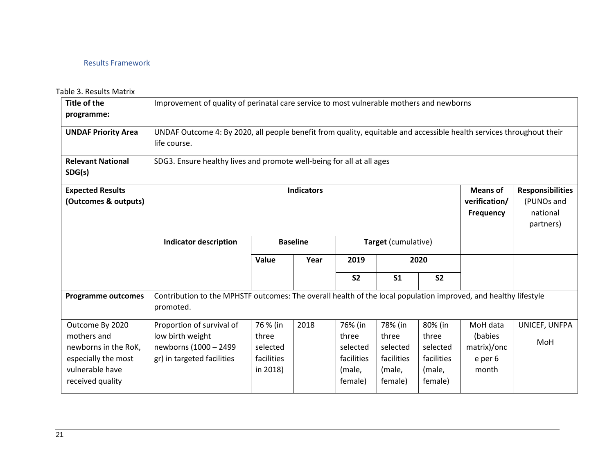## Results Framework

#### Table 3. Results Matrix

<span id="page-19-0"></span>

| <b>Title of the</b><br>programme:                                             | Improvement of quality of perinatal care service to most vulnerable mothers and newborns                                     |                                                                                                                      |                                                                                                                                      |                                            |                                            |                                            |                                               |                             |  |  |
|-------------------------------------------------------------------------------|------------------------------------------------------------------------------------------------------------------------------|----------------------------------------------------------------------------------------------------------------------|--------------------------------------------------------------------------------------------------------------------------------------|--------------------------------------------|--------------------------------------------|--------------------------------------------|-----------------------------------------------|-----------------------------|--|--|
| <b>UNDAF Priority Area</b>                                                    | life course.                                                                                                                 | UNDAF Outcome 4: By 2020, all people benefit from quality, equitable and accessible health services throughout their |                                                                                                                                      |                                            |                                            |                                            |                                               |                             |  |  |
| <b>Relevant National</b><br>SDG(s)                                            |                                                                                                                              | SDG3. Ensure healthy lives and promote well-being for all at all ages                                                |                                                                                                                                      |                                            |                                            |                                            |                                               |                             |  |  |
| <b>Expected Results</b><br>(Outcomes & outputs)                               |                                                                                                                              |                                                                                                                      | <b>Indicators</b><br><b>Means of</b><br><b>Responsibilities</b><br>verification/<br>(PUNOs and<br>Frequency<br>national<br>partners) |                                            |                                            |                                            |                                               |                             |  |  |
|                                                                               | <b>Indicator description</b>                                                                                                 |                                                                                                                      | <b>Baseline</b>                                                                                                                      |                                            | Target (cumulative)                        |                                            |                                               |                             |  |  |
|                                                                               |                                                                                                                              | Value                                                                                                                | Year                                                                                                                                 | 2019                                       |                                            | 2020                                       |                                               |                             |  |  |
|                                                                               |                                                                                                                              |                                                                                                                      |                                                                                                                                      | <b>S2</b>                                  | S <sub>1</sub>                             | <b>S2</b>                                  |                                               |                             |  |  |
| <b>Programme outcomes</b>                                                     | Contribution to the MPHSTF outcomes: The overall health of the local population improved, and healthy lifestyle<br>promoted. |                                                                                                                      |                                                                                                                                      |                                            |                                            |                                            |                                               |                             |  |  |
| Outcome By 2020<br>mothers and<br>newborns in the RoK,<br>especially the most | Proportion of survival of<br>low birth weight<br>newborns (1000 - 2499<br>gr) in targeted facilities                         | 76 % (in<br>three<br>selected<br>facilities                                                                          | 2018                                                                                                                                 | 76% (in<br>three<br>selected<br>facilities | 78% (in<br>three<br>selected<br>facilities | 80% (in<br>three<br>selected<br>facilities | MoH data<br>(babies<br>matrix)/onc<br>e per 6 | UNICEF, UNFPA<br><b>MoH</b> |  |  |
| vulnerable have<br>received quality                                           |                                                                                                                              | in 2018)                                                                                                             |                                                                                                                                      | (male,<br>female)                          | (male,<br>female)                          | (male,<br>female)                          | month                                         |                             |  |  |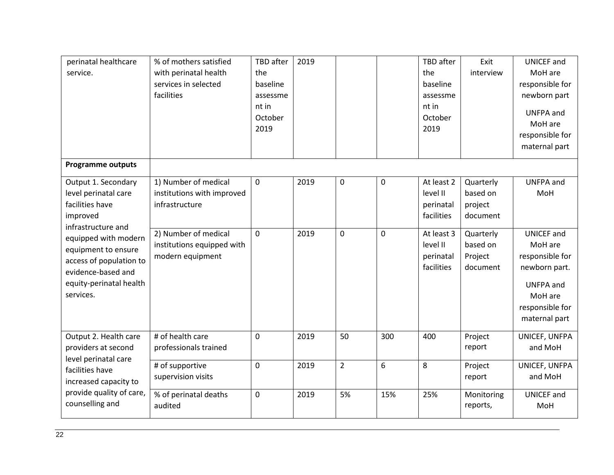| perinatal healthcare<br>service.                                                                                                     | % of mothers satisfied<br>with perinatal health<br>services in selected<br>facilities | <b>TBD</b> after<br>the<br>baseline<br>assessme<br>nt in<br>October<br>2019 | 2019 |                |                | TBD after<br>the<br>baseline<br>assessme<br>nt in<br>October<br>2019 | Exit<br>interview                            | <b>UNICEF</b> and<br>MoH are<br>responsible for<br>newborn part<br>UNFPA and<br>MoH are<br>responsible for<br>maternal part         |
|--------------------------------------------------------------------------------------------------------------------------------------|---------------------------------------------------------------------------------------|-----------------------------------------------------------------------------|------|----------------|----------------|----------------------------------------------------------------------|----------------------------------------------|-------------------------------------------------------------------------------------------------------------------------------------|
| <b>Programme outputs</b>                                                                                                             |                                                                                       |                                                                             |      |                |                |                                                                      |                                              |                                                                                                                                     |
| Output 1. Secondary<br>level perinatal care<br>facilities have<br>improved<br>infrastructure and                                     | 1) Number of medical<br>institutions with improved<br>infrastructure                  | $\mathbf 0$                                                                 | 2019 | $\mathbf 0$    | $\mathbf 0$    | At least 2<br>level II<br>perinatal<br>facilities                    | Quarterly<br>based on<br>project<br>document | <b>UNFPA</b> and<br>MoH                                                                                                             |
| equipped with modern<br>equipment to ensure<br>access of population to<br>evidence-based and<br>equity-perinatal health<br>services. | 2) Number of medical<br>institutions equipped with<br>modern equipment                | $\overline{0}$                                                              | 2019 | $\mathbf 0$    | $\overline{0}$ | At least 3<br>level II<br>perinatal<br>facilities                    | Quarterly<br>based on<br>Project<br>document | <b>UNICEF</b> and<br>MoH are<br>responsible for<br>newborn part.<br><b>UNFPA</b> and<br>MoH are<br>responsible for<br>maternal part |
| Output 2. Health care<br>providers at second<br>level perinatal care                                                                 | # of health care<br>professionals trained                                             | $\mathbf 0$                                                                 | 2019 | 50             | 300            | 400                                                                  | Project<br>report                            | UNICEF, UNFPA<br>and MoH                                                                                                            |
| facilities have<br>increased capacity to                                                                                             | # of supportive<br>supervision visits                                                 | 0                                                                           | 2019 | $\overline{2}$ | 6              | 8                                                                    | Project<br>report                            | UNICEF, UNFPA<br>and MoH                                                                                                            |
| provide quality of care,<br>counselling and                                                                                          | % of perinatal deaths<br>audited                                                      | 0                                                                           | 2019 | 5%             | 15%            | 25%                                                                  | Monitoring<br>reports,                       | <b>UNICEF</b> and<br>MoH                                                                                                            |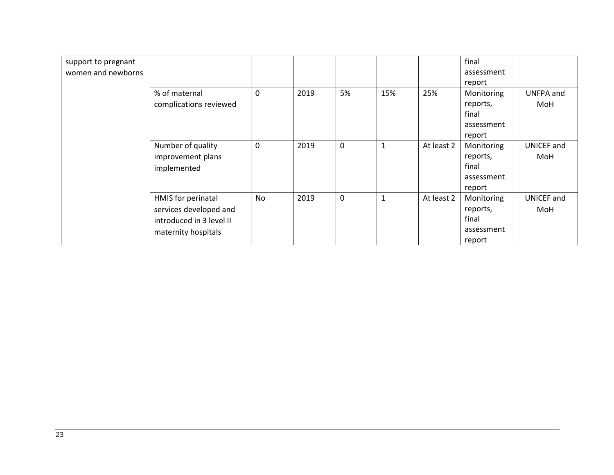| support to pregnant |                          |    |      |             |              |            | final      |                   |
|---------------------|--------------------------|----|------|-------------|--------------|------------|------------|-------------------|
| women and newborns  |                          |    |      |             |              |            | assessment |                   |
|                     |                          |    |      |             |              |            | report     |                   |
|                     | % of maternal            | 0  | 2019 | 5%          | 15%          | 25%        | Monitoring | UNFPA and         |
|                     | complications reviewed   |    |      |             |              |            | reports,   | MoH               |
|                     |                          |    |      |             |              |            | final      |                   |
|                     |                          |    |      |             |              |            | assessment |                   |
|                     |                          |    |      |             |              |            | report     |                   |
|                     | Number of quality        | 0  | 2019 | $\mathbf 0$ | 1            | At least 2 | Monitoring | <b>UNICEF</b> and |
|                     | improvement plans        |    |      |             |              |            | reports,   | MoH               |
|                     | implemented              |    |      |             |              |            | final      |                   |
|                     |                          |    |      |             |              |            | assessment |                   |
|                     |                          |    |      |             |              |            | report     |                   |
|                     | HMIS for perinatal       | No | 2019 | $\mathbf 0$ | $\mathbf{1}$ | At least 2 | Monitoring | <b>UNICEF</b> and |
|                     | services developed and   |    |      |             |              |            | reports,   | MoH               |
|                     | introduced in 3 level II |    |      |             |              |            | final      |                   |
|                     | maternity hospitals      |    |      |             |              |            | assessment |                   |
|                     |                          |    |      |             |              |            | report     |                   |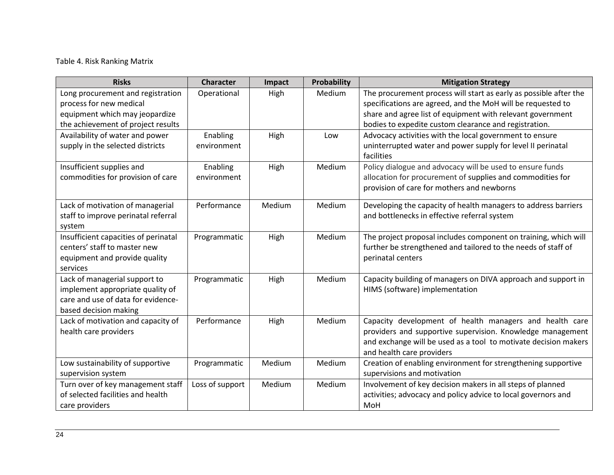# Table 4. Risk Ranking Matrix

| <b>Risks</b>                         | <b>Character</b> | Impact | Probability | <b>Mitigation Strategy</b>                                        |
|--------------------------------------|------------------|--------|-------------|-------------------------------------------------------------------|
| Long procurement and registration    | Operational      | High   | Medium      | The procurement process will start as early as possible after the |
| process for new medical              |                  |        |             | specifications are agreed, and the MoH will be requested to       |
| equipment which may jeopardize       |                  |        |             | share and agree list of equipment with relevant government        |
| the achievement of project results   |                  |        |             | bodies to expedite custom clearance and registration.             |
| Availability of water and power      | Enabling         | High   | Low         | Advocacy activities with the local government to ensure           |
| supply in the selected districts     | environment      |        |             | uninterrupted water and power supply for level II perinatal       |
|                                      |                  |        |             | facilities                                                        |
| Insufficient supplies and            | Enabling         | High   | Medium      | Policy dialogue and advocacy will be used to ensure funds         |
| commodities for provision of care    | environment      |        |             | allocation for procurement of supplies and commodities for        |
|                                      |                  |        |             | provision of care for mothers and newborns                        |
| Lack of motivation of managerial     | Performance      | Medium | Medium      | Developing the capacity of health managers to address barriers    |
| staff to improve perinatal referral  |                  |        |             | and bottlenecks in effective referral system                      |
| system                               |                  |        |             |                                                                   |
| Insufficient capacities of perinatal | Programmatic     | High   | Medium      | The project proposal includes component on training, which will   |
| centers' staff to master new         |                  |        |             | further be strengthened and tailored to the needs of staff of     |
| equipment and provide quality        |                  |        |             | perinatal centers                                                 |
| services                             |                  |        |             |                                                                   |
| Lack of managerial support to        | Programmatic     | High   | Medium      | Capacity building of managers on DIVA approach and support in     |
| implement appropriate quality of     |                  |        |             | HIMS (software) implementation                                    |
| care and use of data for evidence-   |                  |        |             |                                                                   |
| based decision making                |                  |        |             |                                                                   |
| Lack of motivation and capacity of   | Performance      | High   | Medium      | Capacity development of health managers and health care           |
| health care providers                |                  |        |             | providers and supportive supervision. Knowledge management        |
|                                      |                  |        |             | and exchange will be used as a tool to motivate decision makers   |
|                                      |                  |        |             | and health care providers                                         |
| Low sustainability of supportive     | Programmatic     | Medium | Medium      | Creation of enabling environment for strengthening supportive     |
| supervision system                   |                  |        |             | supervisions and motivation                                       |
| Turn over of key management staff    | Loss of support  | Medium | Medium      | Involvement of key decision makers in all steps of planned        |
| of selected facilities and health    |                  |        |             | activities; advocacy and policy advice to local governors and     |
| care providers                       |                  |        |             | MoH                                                               |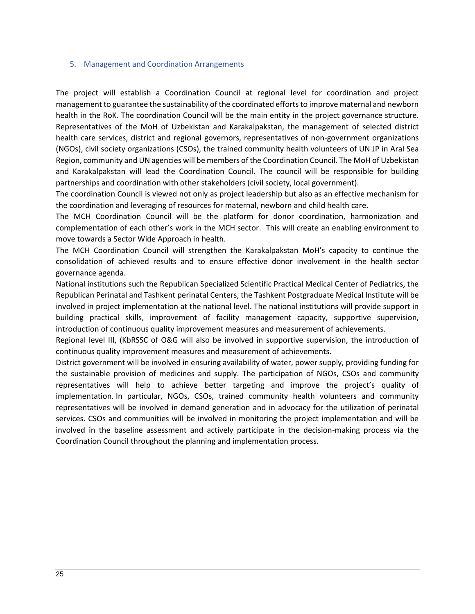#### <span id="page-23-0"></span>5. Management and Coordination Arrangements

The project will establish a Coordination Council at regional level for coordination and project management to guarantee the sustainability of the coordinated efforts to improve maternal and newborn health in the RoK. The coordination Council will be the main entity in the project governance structure. Representatives of the MoH of Uzbekistan and Karakalpakstan, the management of selected district health care services, district and regional governors, representatives of non-government organizations (NGOs), civil society organizations (CSOs), the trained community health volunteers of UN JP in Aral Sea Region, community and UN agencies will be members of the Coordination Council. The MoH of Uzbekistan and Karakalpakstan will lead the Coordination Council. The council will be responsible for building partnerships and coordination with other stakeholders (civil society, local government).

The coordination Council is viewed not only as project leadership but also as an effective mechanism for the coordination and leveraging of resources for maternal, newborn and child health care.

The MCH Coordination Council will be the platform for donor coordination, harmonization and complementation of each other's work in the MCH sector. This will create an enabling environment to move towards a Sector Wide Approach in health.

The MCH Coordination Council will strengthen the Karakalpakstan MoH's capacity to continue the consolidation of achieved results and to ensure effective donor involvement in the health sector governance agenda.

National institutions such the Republican Specialized Scientific Practical Medical Center of Pediatrics, the Republican Perinatal and Tashkent perinatal Centers, the Tashkent Postgraduate Medical Institute will be involved in project implementation at the national level. The national institutions will provide support in building practical skills, improvement of facility management capacity, supportive supervision, introduction of continuous quality improvement measures and measurement of achievements.

Regional level III, (KbRSSC of O&G will also be involved in supportive supervision, the introduction of continuous quality improvement measures and measurement of achievements.

District government will be involved in ensuring availability of water, power supply, providing funding for the sustainable provision of medicines and supply. The participation of NGOs, CSOs and community representatives will help to achieve better targeting and improve the project's quality of implementation. In particular, NGOs, CSOs, trained community health volunteers and community representatives will be involved in demand generation and in advocacy for the utilization of perinatal services. CSOs and communities will be involved in monitoring the project implementation and will be involved in the baseline assessment and actively participate in the decision-making process via the Coordination Council throughout the planning and implementation process.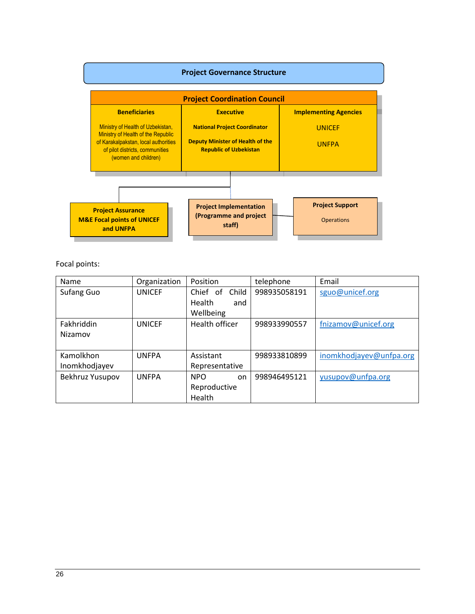

Focal points:

| Name            | Organization  | Position              | telephone    | Email                   |
|-----------------|---------------|-----------------------|--------------|-------------------------|
| Sufang Guo      | <b>UNICEF</b> | Chief of Child        | 998935058191 | sguo@unicef.org         |
|                 |               | Health<br>and         |              |                         |
|                 |               | Wellbeing             |              |                         |
| Fakhriddin      | <b>UNICEF</b> | <b>Health officer</b> | 998933990557 | fnizamov@unicef.org     |
| Nizamov         |               |                       |              |                         |
|                 |               |                       |              |                         |
| Kamolkhon       | <b>UNFPA</b>  | Assistant             | 998933810899 | inomkhodjayev@unfpa.org |
| Inomkhodjayev   |               | Representative        |              |                         |
| Bekhruz Yusupov | <b>UNFPA</b>  | <b>NPO</b><br>on      | 998946495121 | yusupov@unfpa.org       |
|                 |               | Reproductive          |              |                         |
|                 |               | Health                |              |                         |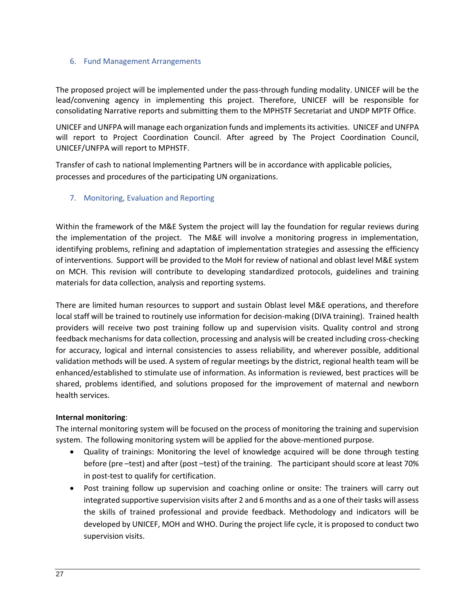#### <span id="page-25-0"></span>6. Fund Management Arrangements

The proposed project will be implemented under the pass-through funding modality. UNICEF will be the lead/convening agency in implementing this project. Therefore, UNICEF will be responsible for consolidating Narrative reports and submitting them to the MPHSTF Secretariat and UNDP MPTF Office.

UNICEF and UNFPA will manage each organization funds and implements its activities. UNICEF and UNFPA will report to Project Coordination Council. After agreed by The Project Coordination Council, UNICEF/UNFPA will report to MPHSTF.

Transfer of cash to national Implementing Partners will be in accordance with applicable policies, processes and procedures of the participating UN organizations.

## <span id="page-25-1"></span>7. Monitoring, Evaluation and Reporting

Within the framework of the M&E System the project will lay the foundation for regular reviews during the implementation of the project. The M&E will involve a monitoring progress in implementation, identifying problems, refining and adaptation of implementation strategies and assessing the efficiency of interventions. Support will be provided to the MoH for review of national and oblast level M&E system on MCH. This revision will contribute to developing standardized protocols, guidelines and training materials for data collection, analysis and reporting systems.

There are limited human resources to support and sustain Oblast level M&E operations, and therefore local staff will be trained to routinely use information for decision-making (DIVA training). Trained health providers will receive two post training follow up and supervision visits. Quality control and strong feedback mechanisms for data collection, processing and analysis will be created including cross-checking for accuracy, logical and internal consistencies to assess reliability, and wherever possible, additional validation methods will be used. A system of regular meetings by the district, regional health team will be enhanced/established to stimulate use of information. As information is reviewed, best practices will be shared, problems identified, and solutions proposed for the improvement of maternal and newborn health services.

#### **Internal monitoring**:

The internal monitoring system will be focused on the process of monitoring the training and supervision system. The following monitoring system will be applied for the above-mentioned purpose.

- Quality of trainings: Monitoring the level of knowledge acquired will be done through testing before (pre –test) and after (post –test) of the training. The participant should score at least 70% in post-test to qualify for certification.
- Post training follow up supervision and coaching online or onsite: The trainers will carry out integrated supportive supervision visits after 2 and 6 months and as a one of their tasks will assess the skills of trained professional and provide feedback. Methodology and indicators will be developed by UNICEF, MOH and WHO. During the project life cycle, it is proposed to conduct two supervision visits.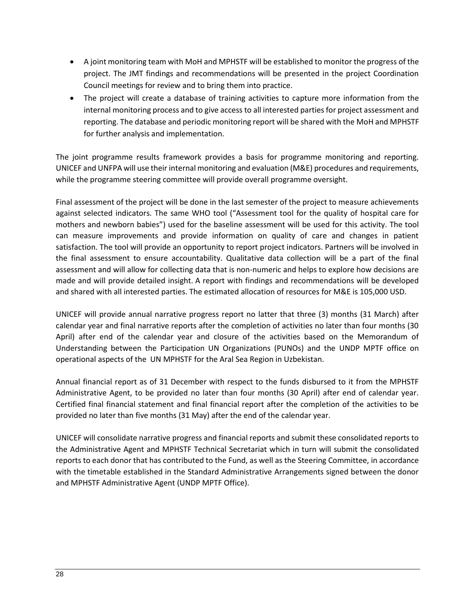- A joint monitoring team with MoH and MPHSTF will be established to monitor the progress of the project. The JMT findings and recommendations will be presented in the project Coordination Council meetings for review and to bring them into practice.
- The project will create a database of training activities to capture more information from the internal monitoring process and to give access to all interested parties for project assessment and reporting. The database and periodic monitoring report will be shared with the MoH and MPHSTF for further analysis and implementation.

The joint programme results framework provides a basis for programme monitoring and reporting. UNICEF and UNFPA will use their internal monitoring and evaluation (M&E) procedures and requirements, while the programme steering committee will provide overall programme oversight.

Final assessment of the project will be done in the last semester of the project to measure achievements against selected indicators. The same WHO tool ("Assessment tool for the quality of hospital care for mothers and newborn babies") used for the baseline assessment will be used for this activity. The tool can measure improvements and provide information on quality of care and changes in patient satisfaction. The tool will provide an opportunity to report project indicators. Partners will be involved in the final assessment to ensure accountability. Qualitative data collection will be a part of the final assessment and will allow for collecting data that is non-numeric and helps to explore how decisions are made and will provide detailed insight. A report with findings and recommendations will be developed and shared with all interested parties. The estimated allocation of resources for M&E is 105,000 USD.

UNICEF will provide annual narrative progress report no latter that three (3) months (31 March) after calendar year and final narrative reports after the completion of activities no later than four months (30 April) after end of the calendar year and closure of the activities based on the Memorandum of Understanding between the Participation UN Organizations (PUNOs) and the UNDP MPTF office on operational aspects of the UN MPHSTF for the Aral Sea Region in Uzbekistan.

Annual financial report as of 31 December with respect to the funds disbursed to it from the MPHSTF Administrative Agent, to be provided no later than four months (30 April) after end of calendar year. Certified final financial statement and final financial report after the completion of the activities to be provided no later than five months (31 May) after the end of the calendar year.

UNICEF will consolidate narrative progress and financial reports and submit these consolidated reports to the Administrative Agent and MPHSTF Technical Secretariat which in turn will submit the consolidated reports to each donor that has contributed to the Fund, as well as the Steering Committee, in accordance with the timetable established in the Standard Administrative Arrangements signed between the donor and MPHSTF Administrative Agent (UNDP MPTF Office).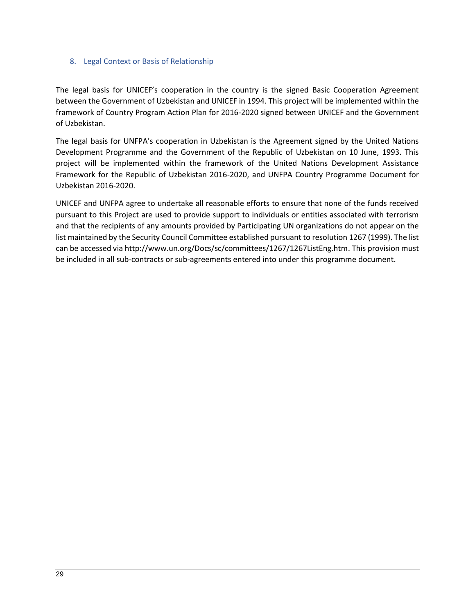### <span id="page-27-0"></span>8. Legal Context or Basis of Relationship

The legal basis for UNICEF's cooperation in the country is the signed Basic Cooperation Agreement between the Government of Uzbekistan and UNICEF in 1994. This project will be implemented within the framework of Country Program Action Plan for 2016-2020 signed between UNICEF and the Government of Uzbekistan.

The legal basis for UNFPA's cooperation in Uzbekistan is the Agreement signed by the United Nations Development Programme and the Government of the Republic of Uzbekistan on 10 June, 1993. This project will be implemented within the framework of the United Nations Development Assistance Framework for the Republic of Uzbekistan 2016-2020, and UNFPA Country Programme Document for Uzbekistan 2016-2020.

UNICEF and UNFPA agree to undertake all reasonable efforts to ensure that none of the funds received pursuant to this Project are used to provide support to individuals or entities associated with terrorism and that the recipients of any amounts provided by Participating UN organizations do not appear on the list maintained by the Security Council Committee established pursuant to resolution 1267 (1999). The list can be accessed vi[a http://www.un.org/Docs/sc/committees/1267/1267ListEng.htm.](http://www.un.org/Docs/sc/committees/1267/1267ListEng.htm) This provision must be included in all sub-contracts or sub-agreements entered into under this programme document.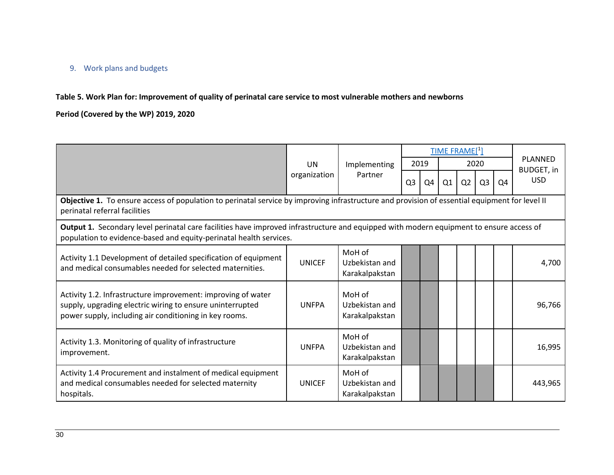## 9. Work plans and budgets

**Table 5. Work Plan for: Improvement of quality of perinatal care service to most vulnerable mothers and newborns** 

**Period (Covered by the WP) 2019, 2020** 

<span id="page-28-0"></span>

|                                                                                                                                                                                                               |               |                                            |                |    |      | <b>TIME FRAME[1]</b> |                |    | <b>PLANNED</b>    |
|---------------------------------------------------------------------------------------------------------------------------------------------------------------------------------------------------------------|---------------|--------------------------------------------|----------------|----|------|----------------------|----------------|----|-------------------|
|                                                                                                                                                                                                               | <b>UN</b>     | Implementing                               | 2019           |    | 2020 |                      |                |    | <b>BUDGET, in</b> |
|                                                                                                                                                                                                               | organization  | Partner                                    | Q <sub>3</sub> | Q4 | Q1   | Q <sub>2</sub>       | Q <sub>3</sub> | Q4 | <b>USD</b>        |
| Objective 1. To ensure access of population to perinatal service by improving infrastructure and provision of essential equipment for level II<br>perinatal referral facilities                               |               |                                            |                |    |      |                      |                |    |                   |
| Output 1. Secondary level perinatal care facilities have improved infrastructure and equipped with modern equipment to ensure access of<br>population to evidence-based and equity-perinatal health services. |               |                                            |                |    |      |                      |                |    |                   |
| Activity 1.1 Development of detailed specification of equipment<br>and medical consumables needed for selected maternities.                                                                                   | <b>UNICEF</b> | MoH of<br>Uzbekistan and<br>Karakalpakstan |                |    |      |                      |                |    | 4,700             |
| Activity 1.2. Infrastructure improvement: improving of water<br>supply, upgrading electric wiring to ensure uninterrupted<br>power supply, including air conditioning in key rooms.                           | <b>UNFPA</b>  | MoH of<br>Uzbekistan and<br>Karakalpakstan |                |    |      |                      |                |    | 96,766            |
| Activity 1.3. Monitoring of quality of infrastructure<br>improvement.                                                                                                                                         | <b>UNFPA</b>  | MoH of<br>Uzbekistan and<br>Karakalpakstan |                |    |      |                      |                |    | 16,995            |
| Activity 1.4 Procurement and instalment of medical equipment<br>and medical consumables needed for selected maternity<br>hospitals.                                                                           | <b>UNICEF</b> | MoH of<br>Uzbekistan and<br>Karakalpakstan |                |    |      |                      |                |    | 443,965           |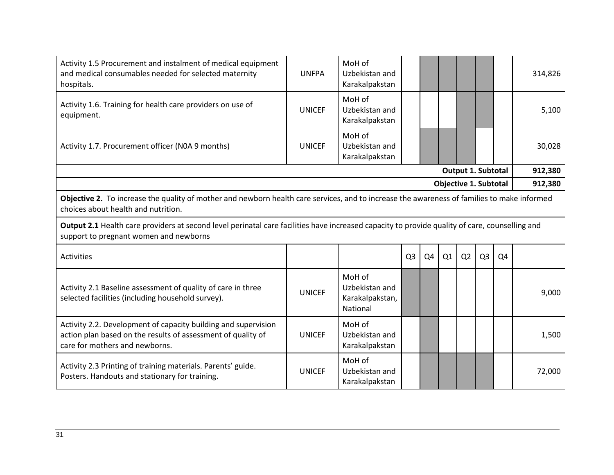| Activity 1.5 Procurement and instalment of medical equipment<br>and medical consumables needed for selected maternity<br>hospitals.                                                      | <b>UNFPA</b>  | MoH of<br>Uzbekistan and<br>Karakalpakstan              |                |    |    |                              |                |                | 314,826 |  |
|------------------------------------------------------------------------------------------------------------------------------------------------------------------------------------------|---------------|---------------------------------------------------------|----------------|----|----|------------------------------|----------------|----------------|---------|--|
| Activity 1.6. Training for health care providers on use of<br>equipment.                                                                                                                 | <b>UNICEF</b> | MoH of<br>Uzbekistan and<br>Karakalpakstan              |                |    |    |                              |                |                | 5,100   |  |
| Activity 1.7. Procurement officer (NOA 9 months)                                                                                                                                         | <b>UNICEF</b> | MoH of<br>Uzbekistan and<br>Karakalpakstan              |                |    |    |                              |                |                | 30,028  |  |
|                                                                                                                                                                                          |               |                                                         |                |    |    | Output 1. Subtotal           |                |                | 912,380 |  |
|                                                                                                                                                                                          |               |                                                         |                |    |    | <b>Objective 1. Subtotal</b> |                |                | 912,380 |  |
| Objective 2. To increase the quality of mother and newborn health care services, and to increase the awareness of families to make informed<br>choices about health and nutrition.       |               |                                                         |                |    |    |                              |                |                |         |  |
| Output 2.1 Health care providers at second level perinatal care facilities have increased capacity to provide quality of care, counselling and<br>support to pregnant women and newborns |               |                                                         |                |    |    |                              |                |                |         |  |
| <b>Activities</b>                                                                                                                                                                        |               |                                                         | Q <sub>3</sub> | Q4 | Q1 | Q <sub>2</sub>               | Q <sub>3</sub> | Q <sub>4</sub> |         |  |
| Activity 2.1 Baseline assessment of quality of care in three<br>selected facilities (including household survey).                                                                        | <b>UNICEF</b> | MoH of<br>Uzbekistan and<br>Karakalpakstan,<br>National |                |    |    |                              |                |                | 9,000   |  |
| Activity 2.2. Development of capacity building and supervision<br>action plan based on the results of assessment of quality of<br>care for mothers and newborns.                         | <b>UNICEF</b> | MoH of<br>Uzbekistan and<br>Karakalpakstan              |                |    |    |                              |                |                | 1,500   |  |
| Activity 2.3 Printing of training materials. Parents' guide.<br>Posters. Handouts and stationary for training.                                                                           | <b>UNICEF</b> | MoH of<br>Uzbekistan and<br>Karakalpakstan              |                |    |    |                              |                |                | 72,000  |  |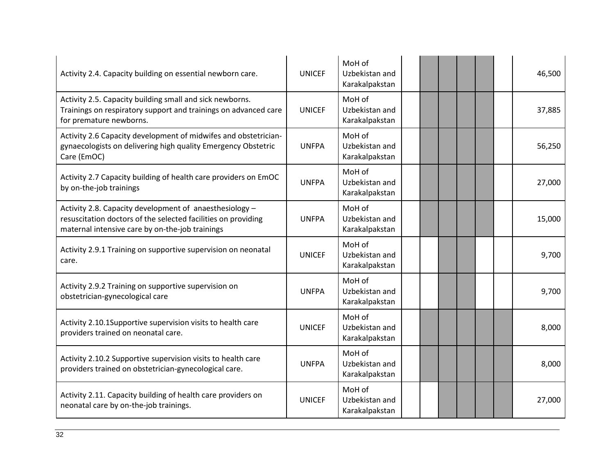| Activity 2.4. Capacity building on essential newborn care.                                                                                                                  | <b>UNICEF</b> | MoH of<br>Uzbekistan and<br>Karakalpakstan |  |  |  | 46,500 |
|-----------------------------------------------------------------------------------------------------------------------------------------------------------------------------|---------------|--------------------------------------------|--|--|--|--------|
| Activity 2.5. Capacity building small and sick newborns.<br>Trainings on respiratory support and trainings on advanced care<br>for premature newborns.                      | <b>UNICEF</b> | MoH of<br>Uzbekistan and<br>Karakalpakstan |  |  |  | 37,885 |
| Activity 2.6 Capacity development of midwifes and obstetrician-<br>gynaecologists on delivering high quality Emergency Obstetric<br>Care (EmOC)                             | <b>UNFPA</b>  | MoH of<br>Uzbekistan and<br>Karakalpakstan |  |  |  | 56,250 |
| Activity 2.7 Capacity building of health care providers on EmOC<br>by on-the-job trainings                                                                                  | <b>UNFPA</b>  | MoH of<br>Uzbekistan and<br>Karakalpakstan |  |  |  | 27,000 |
| Activity 2.8. Capacity development of anaesthesiology -<br>resuscitation doctors of the selected facilities on providing<br>maternal intensive care by on-the-job trainings | <b>UNFPA</b>  | MoH of<br>Uzbekistan and<br>Karakalpakstan |  |  |  | 15,000 |
| Activity 2.9.1 Training on supportive supervision on neonatal<br>care.                                                                                                      | <b>UNICEF</b> | MoH of<br>Uzbekistan and<br>Karakalpakstan |  |  |  | 9,700  |
| Activity 2.9.2 Training on supportive supervision on<br>obstetrician-gynecological care                                                                                     | <b>UNFPA</b>  | MoH of<br>Uzbekistan and<br>Karakalpakstan |  |  |  | 9,700  |
| Activity 2.10.1Supportive supervision visits to health care<br>providers trained on neonatal care.                                                                          | <b>UNICEF</b> | MoH of<br>Uzbekistan and<br>Karakalpakstan |  |  |  | 8,000  |
| Activity 2.10.2 Supportive supervision visits to health care<br>providers trained on obstetrician-gynecological care.                                                       | <b>UNFPA</b>  | MoH of<br>Uzbekistan and<br>Karakalpakstan |  |  |  | 8,000  |
| Activity 2.11. Capacity building of health care providers on<br>neonatal care by on-the-job trainings.                                                                      | <b>UNICEF</b> | MoH of<br>Uzbekistan and<br>Karakalpakstan |  |  |  | 27,000 |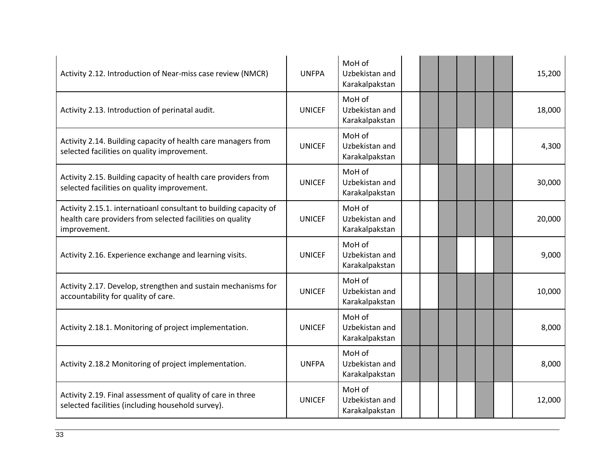| Activity 2.12. Introduction of Near-miss case review (NMCR)                                                                                    | <b>UNFPA</b>  | MoH of<br>Uzbekistan and<br>Karakalpakstan |  |  |  | 15,200 |
|------------------------------------------------------------------------------------------------------------------------------------------------|---------------|--------------------------------------------|--|--|--|--------|
| Activity 2.13. Introduction of perinatal audit.                                                                                                | <b>UNICEF</b> | MoH of<br>Uzbekistan and<br>Karakalpakstan |  |  |  | 18,000 |
| Activity 2.14. Building capacity of health care managers from<br>selected facilities on quality improvement.                                   | <b>UNICEF</b> | MoH of<br>Uzbekistan and<br>Karakalpakstan |  |  |  | 4,300  |
| Activity 2.15. Building capacity of health care providers from<br>selected facilities on quality improvement.                                  | <b>UNICEF</b> | MoH of<br>Uzbekistan and<br>Karakalpakstan |  |  |  | 30,000 |
| Activity 2.15.1. internatioanl consultant to building capacity of<br>health care providers from selected facilities on quality<br>improvement. | <b>UNICEF</b> | MoH of<br>Uzbekistan and<br>Karakalpakstan |  |  |  | 20,000 |
| Activity 2.16. Experience exchange and learning visits.                                                                                        | <b>UNICEF</b> | MoH of<br>Uzbekistan and<br>Karakalpakstan |  |  |  | 9,000  |
| Activity 2.17. Develop, strengthen and sustain mechanisms for<br>accountability for quality of care.                                           | <b>UNICEF</b> | MoH of<br>Uzbekistan and<br>Karakalpakstan |  |  |  | 10,000 |
| Activity 2.18.1. Monitoring of project implementation.                                                                                         | <b>UNICEF</b> | MoH of<br>Uzbekistan and<br>Karakalpakstan |  |  |  | 8,000  |
| Activity 2.18.2 Monitoring of project implementation.                                                                                          | <b>UNFPA</b>  | MoH of<br>Uzbekistan and<br>Karakalpakstan |  |  |  | 8,000  |
| Activity 2.19. Final assessment of quality of care in three<br>selected facilities (including household survey).                               | <b>UNICEF</b> | MoH of<br>Uzbekistan and<br>Karakalpakstan |  |  |  | 12,000 |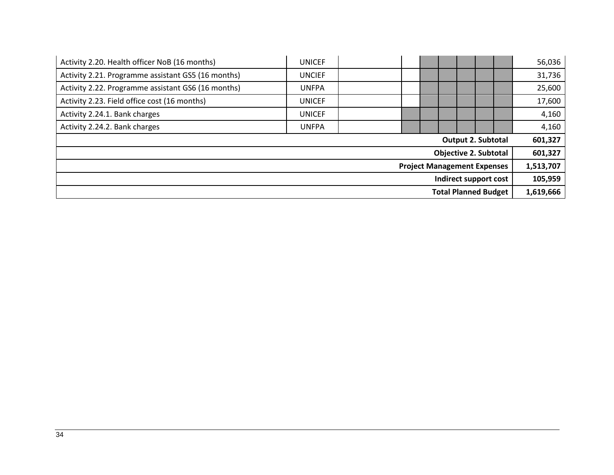| Activity 2.20. Health officer NoB (16 months)      | <b>UNICEF</b> |                                    |  |                              | 56,036    |
|----------------------------------------------------|---------------|------------------------------------|--|------------------------------|-----------|
| Activity 2.21. Programme assistant GS5 (16 months) | <b>UNCIEF</b> |                                    |  |                              | 31,736    |
| Activity 2.22. Programme assistant GS6 (16 months) | <b>UNFPA</b>  |                                    |  |                              | 25,600    |
| Activity 2.23. Field office cost (16 months)       | <b>UNICEF</b> |                                    |  |                              | 17,600    |
| Activity 2.24.1. Bank charges                      | <b>UNICEF</b> |                                    |  |                              | 4,160     |
| Activity 2.24.2. Bank charges                      | <b>UNFPA</b>  |                                    |  |                              | 4,160     |
|                                                    |               |                                    |  | <b>Output 2. Subtotal</b>    | 601,327   |
|                                                    |               |                                    |  | <b>Objective 2. Subtotal</b> | 601,327   |
|                                                    |               | <b>Project Management Expenses</b> |  |                              | 1,513,707 |
|                                                    |               |                                    |  | Indirect support cost        | 105,959   |
|                                                    |               |                                    |  | <b>Total Planned Budget</b>  | 1,619,666 |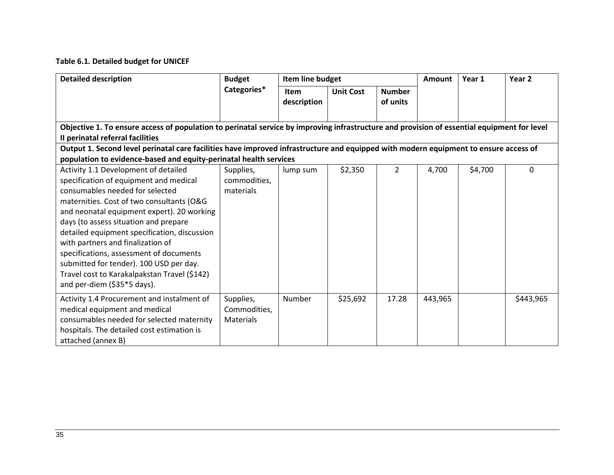# **Table 6.1. Detailed budget for UNICEF**

| <b>Detailed description</b>                                                                                                                                                                                                                                                                                                                                                                                                                                                                                     | <b>Budget</b>                          | Item line budget           |                  |                           | Amount  | Year 1  | Year <sub>2</sub> |
|-----------------------------------------------------------------------------------------------------------------------------------------------------------------------------------------------------------------------------------------------------------------------------------------------------------------------------------------------------------------------------------------------------------------------------------------------------------------------------------------------------------------|----------------------------------------|----------------------------|------------------|---------------------------|---------|---------|-------------------|
|                                                                                                                                                                                                                                                                                                                                                                                                                                                                                                                 | Categories*                            | <b>Item</b><br>description | <b>Unit Cost</b> | <b>Number</b><br>of units |         |         |                   |
| Objective 1. To ensure access of population to perinatal service by improving infrastructure and provision of essential equipment for level<br>Il perinatal referral facilities                                                                                                                                                                                                                                                                                                                                 |                                        |                            |                  |                           |         |         |                   |
| Output 1. Second level perinatal care facilities have improved infrastructure and equipped with modern equipment to ensure access of                                                                                                                                                                                                                                                                                                                                                                            |                                        |                            |                  |                           |         |         |                   |
| population to evidence-based and equity-perinatal health services                                                                                                                                                                                                                                                                                                                                                                                                                                               |                                        |                            |                  |                           |         |         |                   |
| Activity 1.1 Development of detailed<br>specification of equipment and medical<br>consumables needed for selected<br>maternities. Cost of two consultants (O&G<br>and neonatal equipment expert). 20 working<br>days (to assess situation and prepare<br>detailed equipment specification, discussion<br>with partners and finalization of<br>specifications, assessment of documents<br>submitted for tender). 100 USD per day.<br>Travel cost to Karakalpakstan Travel (\$142)<br>and per-diem (\$35*5 days). | Supplies,<br>commodities,<br>materials | lump sum                   | \$2,350          | $\overline{2}$            | 4,700   | \$4,700 | $\mathbf 0$       |
| Activity 1.4 Procurement and instalment of<br>medical equipment and medical<br>consumables needed for selected maternity<br>hospitals. The detailed cost estimation is<br>attached (annex B)                                                                                                                                                                                                                                                                                                                    | Supplies,<br>Commodities,<br>Materials | Number                     | \$25,692         | 17.28                     | 443,965 |         | \$443,965         |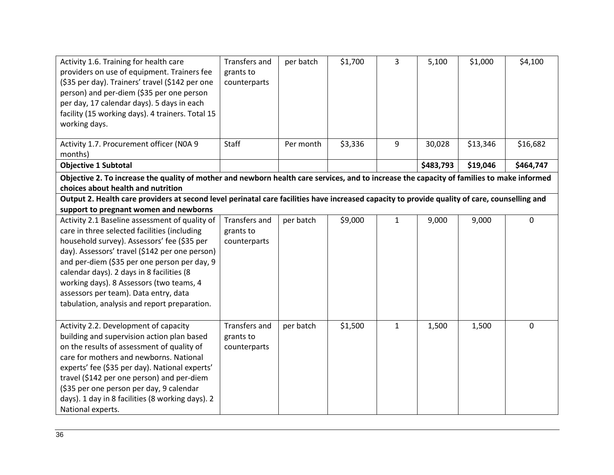| Activity 1.6. Training for health care<br>providers on use of equipment. Trainers fee<br>(\$35 per day). Trainers' travel (\$142 per one<br>person) and per-diem (\$35 per one person<br>per day, 17 calendar days). 5 days in each<br>facility (15 working days). 4 trainers. Total 15<br>working days. | Transfers and<br>grants to<br>counterparts | per batch | \$1,700 | 3            | 5,100     | \$1,000  | \$4,100     |
|----------------------------------------------------------------------------------------------------------------------------------------------------------------------------------------------------------------------------------------------------------------------------------------------------------|--------------------------------------------|-----------|---------|--------------|-----------|----------|-------------|
| Activity 1.7. Procurement officer (NOA 9<br>months)                                                                                                                                                                                                                                                      | Staff                                      | Per month | \$3,336 | 9            | 30,028    | \$13,346 | \$16,682    |
| <b>Objective 1 Subtotal</b>                                                                                                                                                                                                                                                                              |                                            |           |         |              | \$483,793 | \$19,046 | \$464,747   |
| Objective 2. To increase the quality of mother and newborn health care services, and to increase the capacity of families to make informed                                                                                                                                                               |                                            |           |         |              |           |          |             |
| choices about health and nutrition                                                                                                                                                                                                                                                                       |                                            |           |         |              |           |          |             |
| Output 2. Health care providers at second level perinatal care facilities have increased capacity to provide quality of care, counselling and                                                                                                                                                            |                                            |           |         |              |           |          |             |
| support to pregnant women and newborns                                                                                                                                                                                                                                                                   |                                            |           |         |              |           |          |             |
| Activity 2.1 Baseline assessment of quality of                                                                                                                                                                                                                                                           | Transfers and                              | per batch | \$9,000 | $\mathbf{1}$ | 9,000     | 9,000    | $\mathbf 0$ |
| care in three selected facilities (including                                                                                                                                                                                                                                                             | grants to                                  |           |         |              |           |          |             |
| household survey). Assessors' fee (\$35 per                                                                                                                                                                                                                                                              | counterparts                               |           |         |              |           |          |             |
| day). Assessors' travel (\$142 per one person)                                                                                                                                                                                                                                                           |                                            |           |         |              |           |          |             |
| and per-diem (\$35 per one person per day, 9                                                                                                                                                                                                                                                             |                                            |           |         |              |           |          |             |
| calendar days). 2 days in 8 facilities (8                                                                                                                                                                                                                                                                |                                            |           |         |              |           |          |             |
| working days). 8 Assessors (two teams, 4                                                                                                                                                                                                                                                                 |                                            |           |         |              |           |          |             |
| assessors per team). Data entry, data                                                                                                                                                                                                                                                                    |                                            |           |         |              |           |          |             |
| tabulation, analysis and report preparation.                                                                                                                                                                                                                                                             |                                            |           |         |              |           |          |             |
|                                                                                                                                                                                                                                                                                                          |                                            |           |         |              |           |          |             |
| Activity 2.2. Development of capacity                                                                                                                                                                                                                                                                    | <b>Transfers and</b>                       | per batch | \$1,500 | $\mathbf{1}$ | 1,500     | 1,500    | $\mathbf 0$ |
| building and supervision action plan based                                                                                                                                                                                                                                                               | grants to                                  |           |         |              |           |          |             |
| on the results of assessment of quality of                                                                                                                                                                                                                                                               | counterparts                               |           |         |              |           |          |             |
| care for mothers and newborns. National                                                                                                                                                                                                                                                                  |                                            |           |         |              |           |          |             |
| experts' fee (\$35 per day). National experts'                                                                                                                                                                                                                                                           |                                            |           |         |              |           |          |             |
| travel (\$142 per one person) and per-diem                                                                                                                                                                                                                                                               |                                            |           |         |              |           |          |             |
| (\$35 per one person per day, 9 calendar                                                                                                                                                                                                                                                                 |                                            |           |         |              |           |          |             |
| days). 1 day in 8 facilities (8 working days). 2                                                                                                                                                                                                                                                         |                                            |           |         |              |           |          |             |
| National experts.                                                                                                                                                                                                                                                                                        |                                            |           |         |              |           |          |             |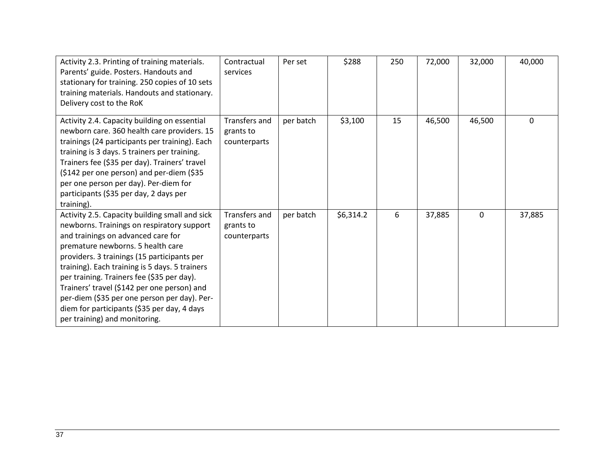| Activity 2.3. Printing of training materials.<br>Parents' guide. Posters. Handouts and<br>stationary for training. 250 copies of 10 sets<br>training materials. Handouts and stationary.<br>Delivery cost to the RoK                                                                                                                                                                                                                                                                                  | Contractual<br>services                    | Per set   | \$288     | 250 | 72,000 | 32,000      | 40,000       |
|-------------------------------------------------------------------------------------------------------------------------------------------------------------------------------------------------------------------------------------------------------------------------------------------------------------------------------------------------------------------------------------------------------------------------------------------------------------------------------------------------------|--------------------------------------------|-----------|-----------|-----|--------|-------------|--------------|
| Activity 2.4. Capacity building on essential<br>newborn care. 360 health care providers. 15<br>trainings (24 participants per training). Each<br>training is 3 days. 5 trainers per training.<br>Trainers fee (\$35 per day). Trainers' travel<br>(\$142 per one person) and per-diem (\$35<br>per one person per day). Per-diem for<br>participants (\$35 per day, 2 days per<br>training).                                                                                                          | Transfers and<br>grants to<br>counterparts | per batch | \$3,100   | 15  | 46,500 | 46,500      | $\mathbf{0}$ |
| Activity 2.5. Capacity building small and sick<br>newborns. Trainings on respiratory support<br>and trainings on advanced care for<br>premature newborns. 5 health care<br>providers. 3 trainings (15 participants per<br>training). Each training is 5 days. 5 trainers<br>per training. Trainers fee (\$35 per day).<br>Trainers' travel (\$142 per one person) and<br>per-diem (\$35 per one person per day). Per-<br>diem for participants (\$35 per day, 4 days<br>per training) and monitoring. | Transfers and<br>grants to<br>counterparts | per batch | \$6,314.2 | 6   | 37,885 | $\mathbf 0$ | 37,885       |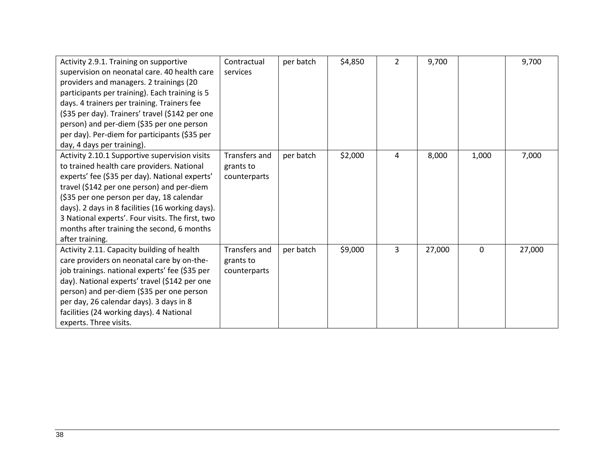| Activity 2.9.1. Training on supportive           | Contractual          | per batch | \$4,850 | $\overline{2}$ | 9,700  |       | 9,700  |
|--------------------------------------------------|----------------------|-----------|---------|----------------|--------|-------|--------|
| supervision on neonatal care. 40 health care     | services             |           |         |                |        |       |        |
| providers and managers. 2 trainings (20          |                      |           |         |                |        |       |        |
| participants per training). Each training is 5   |                      |           |         |                |        |       |        |
| days. 4 trainers per training. Trainers fee      |                      |           |         |                |        |       |        |
| (\$35 per day). Trainers' travel (\$142 per one  |                      |           |         |                |        |       |        |
| person) and per-diem (\$35 per one person        |                      |           |         |                |        |       |        |
| per day). Per-diem for participants (\$35 per    |                      |           |         |                |        |       |        |
| day, 4 days per training).                       |                      |           |         |                |        |       |        |
| Activity 2.10.1 Supportive supervision visits    | <b>Transfers and</b> | per batch | \$2,000 | 4              | 8,000  | 1,000 | 7,000  |
| to trained health care providers. National       | grants to            |           |         |                |        |       |        |
| experts' fee (\$35 per day). National experts'   | counterparts         |           |         |                |        |       |        |
| travel (\$142 per one person) and per-diem       |                      |           |         |                |        |       |        |
| (\$35 per one person per day, 18 calendar        |                      |           |         |                |        |       |        |
| days). 2 days in 8 facilities (16 working days). |                      |           |         |                |        |       |        |
| 3 National experts'. Four visits. The first, two |                      |           |         |                |        |       |        |
| months after training the second, 6 months       |                      |           |         |                |        |       |        |
| after training.                                  |                      |           |         |                |        |       |        |
| Activity 2.11. Capacity building of health       | Transfers and        | per batch | \$9,000 | 3              | 27,000 | 0     | 27,000 |
| care providers on neonatal care by on-the-       | grants to            |           |         |                |        |       |        |
| job trainings. national experts' fee (\$35 per   | counterparts         |           |         |                |        |       |        |
| day). National experts' travel (\$142 per one    |                      |           |         |                |        |       |        |
| person) and per-diem (\$35 per one person        |                      |           |         |                |        |       |        |
| per day, 26 calendar days). 3 days in 8          |                      |           |         |                |        |       |        |
| facilities (24 working days). 4 National         |                      |           |         |                |        |       |        |
| experts. Three visits.                           |                      |           |         |                |        |       |        |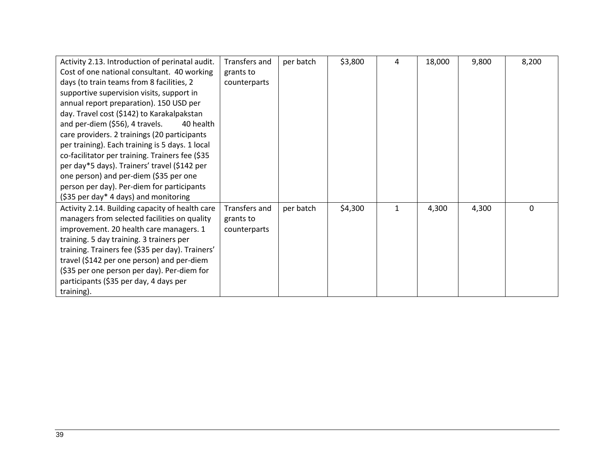| Activity 2.13. Introduction of perinatal audit.  | Transfers and | per batch | \$3,800 | 4 | 18,000 | 9,800 | 8,200    |
|--------------------------------------------------|---------------|-----------|---------|---|--------|-------|----------|
| Cost of one national consultant. 40 working      | grants to     |           |         |   |        |       |          |
| days (to train teams from 8 facilities, 2        | counterparts  |           |         |   |        |       |          |
| supportive supervision visits, support in        |               |           |         |   |        |       |          |
| annual report preparation). 150 USD per          |               |           |         |   |        |       |          |
| day. Travel cost (\$142) to Karakalpakstan       |               |           |         |   |        |       |          |
| and per-diem (\$56), 4 travels.<br>40 health     |               |           |         |   |        |       |          |
| care providers. 2 trainings (20 participants     |               |           |         |   |        |       |          |
| per training). Each training is 5 days. 1 local  |               |           |         |   |        |       |          |
| co-facilitator per training. Trainers fee (\$35  |               |           |         |   |        |       |          |
| per day*5 days). Trainers' travel (\$142 per     |               |           |         |   |        |       |          |
| one person) and per-diem (\$35 per one           |               |           |         |   |        |       |          |
| person per day). Per-diem for participants       |               |           |         |   |        |       |          |
| (\$35 per day* 4 days) and monitoring            |               |           |         |   |        |       |          |
| Activity 2.14. Building capacity of health care  | Transfers and | per batch | \$4,300 | 1 | 4,300  | 4,300 | $\Omega$ |
| managers from selected facilities on quality     | grants to     |           |         |   |        |       |          |
| improvement. 20 health care managers. 1          | counterparts  |           |         |   |        |       |          |
| training. 5 day training. 3 trainers per         |               |           |         |   |        |       |          |
| training. Trainers fee (\$35 per day). Trainers' |               |           |         |   |        |       |          |
| travel (\$142 per one person) and per-diem       |               |           |         |   |        |       |          |
| (\$35 per one person per day). Per-diem for      |               |           |         |   |        |       |          |
| participants (\$35 per day, 4 days per           |               |           |         |   |        |       |          |
| training).                                       |               |           |         |   |        |       |          |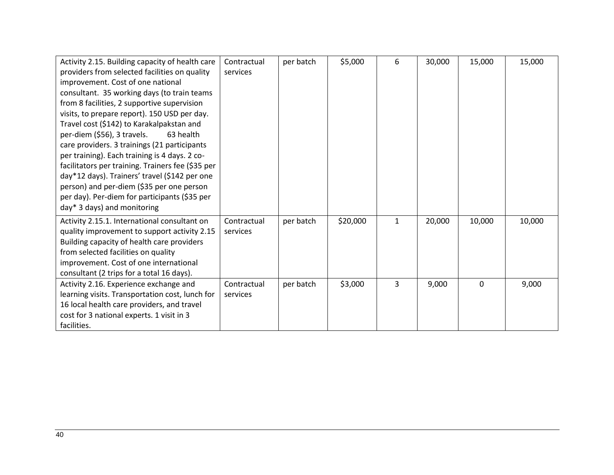| Activity 2.15. Building capacity of health care   | Contractual | per batch | \$5,000  | 6 | 30,000 | 15,000 | 15,000 |
|---------------------------------------------------|-------------|-----------|----------|---|--------|--------|--------|
| providers from selected facilities on quality     | services    |           |          |   |        |        |        |
| improvement. Cost of one national                 |             |           |          |   |        |        |        |
| consultant. 35 working days (to train teams       |             |           |          |   |        |        |        |
| from 8 facilities, 2 supportive supervision       |             |           |          |   |        |        |        |
| visits, to prepare report). 150 USD per day.      |             |           |          |   |        |        |        |
| Travel cost (\$142) to Karakalpakstan and         |             |           |          |   |        |        |        |
| per-diem (\$56), 3 travels.<br>63 health          |             |           |          |   |        |        |        |
| care providers. 3 trainings (21 participants      |             |           |          |   |        |        |        |
| per training). Each training is 4 days. 2 co-     |             |           |          |   |        |        |        |
| facilitators per training. Trainers fee (\$35 per |             |           |          |   |        |        |        |
| day*12 days). Trainers' travel (\$142 per one     |             |           |          |   |        |        |        |
| person) and per-diem (\$35 per one person         |             |           |          |   |        |        |        |
| per day). Per-diem for participants (\$35 per     |             |           |          |   |        |        |        |
| day* 3 days) and monitoring                       |             |           |          |   |        |        |        |
| Activity 2.15.1. International consultant on      | Contractual | per batch | \$20,000 | 1 | 20,000 | 10,000 | 10,000 |
| quality improvement to support activity 2.15      | services    |           |          |   |        |        |        |
| Building capacity of health care providers        |             |           |          |   |        |        |        |
| from selected facilities on quality               |             |           |          |   |        |        |        |
| improvement. Cost of one international            |             |           |          |   |        |        |        |
| consultant (2 trips for a total 16 days).         |             |           |          |   |        |        |        |
| Activity 2.16. Experience exchange and            | Contractual | per batch | \$3,000  | 3 | 9,000  | 0      | 9,000  |
| learning visits. Transportation cost, lunch for   | services    |           |          |   |        |        |        |
| 16 local health care providers, and travel        |             |           |          |   |        |        |        |
| cost for 3 national experts. 1 visit in 3         |             |           |          |   |        |        |        |
| facilities.                                       |             |           |          |   |        |        |        |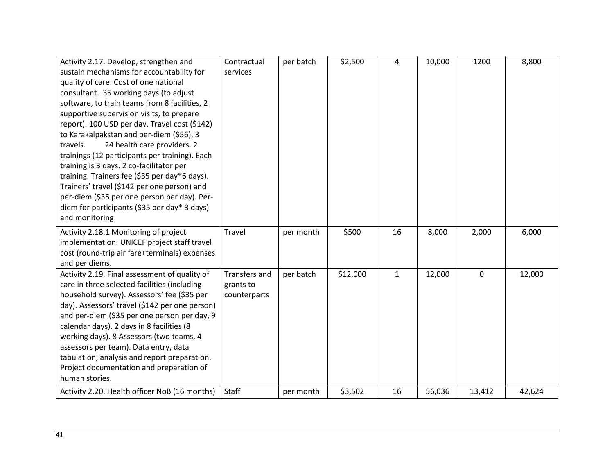| Activity 2.17. Develop, strengthen and         | Contractual          | per batch | \$2,500  | 4            | 10,000 | 1200      | 8,800  |
|------------------------------------------------|----------------------|-----------|----------|--------------|--------|-----------|--------|
| sustain mechanisms for accountability for      | services             |           |          |              |        |           |        |
| quality of care. Cost of one national          |                      |           |          |              |        |           |        |
| consultant. 35 working days (to adjust         |                      |           |          |              |        |           |        |
| software, to train teams from 8 facilities, 2  |                      |           |          |              |        |           |        |
| supportive supervision visits, to prepare      |                      |           |          |              |        |           |        |
| report). 100 USD per day. Travel cost (\$142)  |                      |           |          |              |        |           |        |
| to Karakalpakstan and per-diem (\$56), 3       |                      |           |          |              |        |           |        |
| 24 health care providers. 2<br>travels.        |                      |           |          |              |        |           |        |
| trainings (12 participants per training). Each |                      |           |          |              |        |           |        |
| training is 3 days. 2 co-facilitator per       |                      |           |          |              |        |           |        |
| training. Trainers fee (\$35 per day*6 days).  |                      |           |          |              |        |           |        |
| Trainers' travel (\$142 per one person) and    |                      |           |          |              |        |           |        |
| per-diem (\$35 per one person per day). Per-   |                      |           |          |              |        |           |        |
| diem for participants (\$35 per day* 3 days)   |                      |           |          |              |        |           |        |
| and monitoring                                 |                      |           |          |              |        |           |        |
| Activity 2.18.1 Monitoring of project          | Travel               | per month | \$500    | 16           | 8,000  | 2,000     | 6,000  |
| implementation. UNICEF project staff travel    |                      |           |          |              |        |           |        |
| cost (round-trip air fare+terminals) expenses  |                      |           |          |              |        |           |        |
| and per diems.                                 |                      |           |          |              |        |           |        |
| Activity 2.19. Final assessment of quality of  | <b>Transfers and</b> | per batch | \$12,000 | $\mathbf{1}$ | 12,000 | $\pmb{0}$ | 12,000 |
| care in three selected facilities (including   | grants to            |           |          |              |        |           |        |
| household survey). Assessors' fee (\$35 per    | counterparts         |           |          |              |        |           |        |
| day). Assessors' travel (\$142 per one person) |                      |           |          |              |        |           |        |
| and per-diem (\$35 per one person per day, 9   |                      |           |          |              |        |           |        |
| calendar days). 2 days in 8 facilities (8      |                      |           |          |              |        |           |        |
| working days). 8 Assessors (two teams, 4       |                      |           |          |              |        |           |        |
| assessors per team). Data entry, data          |                      |           |          |              |        |           |        |
| tabulation, analysis and report preparation.   |                      |           |          |              |        |           |        |
| Project documentation and preparation of       |                      |           |          |              |        |           |        |
| human stories.                                 |                      |           |          |              |        |           |        |
| Activity 2.20. Health officer NoB (16 months)  | Staff                |           | \$3,502  | 16           | 56,036 | 13,412    | 42,624 |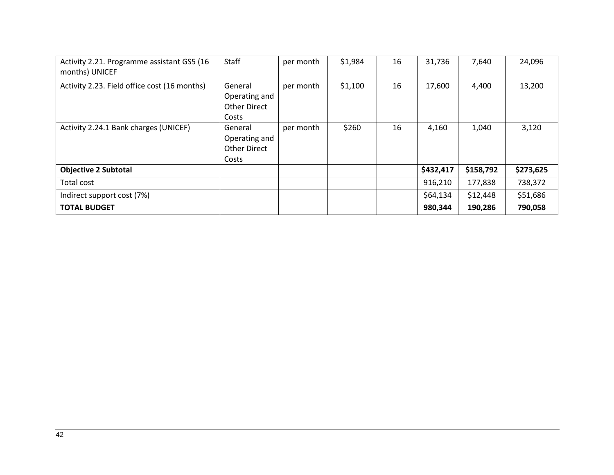| Activity 2.21. Programme assistant GS5 (16<br>months) UNICEF | Staff                                                    | per month | \$1,984 | 16 | 31,736    | 7,640     | 24,096    |
|--------------------------------------------------------------|----------------------------------------------------------|-----------|---------|----|-----------|-----------|-----------|
| Activity 2.23. Field office cost (16 months)                 | General<br>Operating and<br><b>Other Direct</b><br>Costs | per month | \$1,100 | 16 | 17,600    | 4,400     | 13,200    |
| Activity 2.24.1 Bank charges (UNICEF)                        | General<br>Operating and<br><b>Other Direct</b><br>Costs | per month | \$260   | 16 | 4,160     | 1,040     | 3,120     |
| <b>Objective 2 Subtotal</b>                                  |                                                          |           |         |    | \$432,417 | \$158,792 | \$273,625 |
| Total cost                                                   |                                                          |           |         |    | 916,210   | 177,838   | 738,372   |
| Indirect support cost (7%)                                   |                                                          |           |         |    | \$64,134  | \$12,448  | \$51,686  |
| <b>TOTAL BUDGET</b>                                          |                                                          |           |         |    | 980,344   | 190,286   | 790,058   |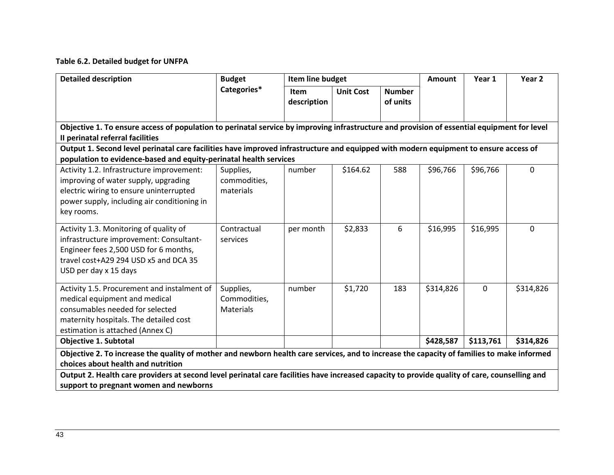# **Table 6.2. Detailed budget for UNFPA**

| <b>Detailed description</b>                                                                                                                                              | <b>Budget</b>    | Item line budget |                  |               | Amount    | Year 1      | Year 2       |  |  |
|--------------------------------------------------------------------------------------------------------------------------------------------------------------------------|------------------|------------------|------------------|---------------|-----------|-------------|--------------|--|--|
|                                                                                                                                                                          | Categories*      | Item             | <b>Unit Cost</b> | <b>Number</b> |           |             |              |  |  |
|                                                                                                                                                                          |                  | description      |                  | of units      |           |             |              |  |  |
|                                                                                                                                                                          |                  |                  |                  |               |           |             |              |  |  |
| Objective 1. To ensure access of population to perinatal service by improving infrastructure and provision of essential equipment for level                              |                  |                  |                  |               |           |             |              |  |  |
| Il perinatal referral facilities<br>Output 1. Second level perinatal care facilities have improved infrastructure and equipped with modern equipment to ensure access of |                  |                  |                  |               |           |             |              |  |  |
| population to evidence-based and equity-perinatal health services                                                                                                        |                  |                  |                  |               |           |             |              |  |  |
| Activity 1.2. Infrastructure improvement:                                                                                                                                | Supplies,        | number           | \$164.62         | 588           | \$96,766  | \$96,766    | $\mathbf{0}$ |  |  |
| improving of water supply, upgrading                                                                                                                                     | commodities,     |                  |                  |               |           |             |              |  |  |
| electric wiring to ensure uninterrupted                                                                                                                                  | materials        |                  |                  |               |           |             |              |  |  |
| power supply, including air conditioning in                                                                                                                              |                  |                  |                  |               |           |             |              |  |  |
| key rooms.                                                                                                                                                               |                  |                  |                  |               |           |             |              |  |  |
|                                                                                                                                                                          |                  |                  |                  |               |           |             |              |  |  |
| Activity 1.3. Monitoring of quality of                                                                                                                                   | Contractual      | per month        | \$2,833          | 6             | \$16,995  | \$16,995    | $\Omega$     |  |  |
| infrastructure improvement: Consultant-                                                                                                                                  | services         |                  |                  |               |           |             |              |  |  |
| Engineer fees 2,500 USD for 6 months,                                                                                                                                    |                  |                  |                  |               |           |             |              |  |  |
| travel cost+A29 294 USD x5 and DCA 35                                                                                                                                    |                  |                  |                  |               |           |             |              |  |  |
| USD per day x 15 days                                                                                                                                                    |                  |                  |                  |               |           |             |              |  |  |
| Activity 1.5. Procurement and instalment of                                                                                                                              | Supplies,        | number           | \$1,720          | 183           | \$314,826 | $\mathbf 0$ | \$314,826    |  |  |
| medical equipment and medical                                                                                                                                            | Commodities,     |                  |                  |               |           |             |              |  |  |
| consumables needed for selected                                                                                                                                          | <b>Materials</b> |                  |                  |               |           |             |              |  |  |
| maternity hospitals. The detailed cost                                                                                                                                   |                  |                  |                  |               |           |             |              |  |  |
| estimation is attached (Annex C)                                                                                                                                         |                  |                  |                  |               |           |             |              |  |  |
| <b>Objective 1. Subtotal</b>                                                                                                                                             |                  |                  |                  |               | \$428,587 | \$113,761   | \$314,826    |  |  |
| Objective 2. To increase the quality of mother and newborn health care services, and to increase the capacity of families to make informed                               |                  |                  |                  |               |           |             |              |  |  |
| choices about health and nutrition                                                                                                                                       |                  |                  |                  |               |           |             |              |  |  |
| Output 2. Health care providers at second level perinatal care facilities have increased capacity to provide quality of care, counselling and                            |                  |                  |                  |               |           |             |              |  |  |
| support to pregnant women and newborns                                                                                                                                   |                  |                  |                  |               |           |             |              |  |  |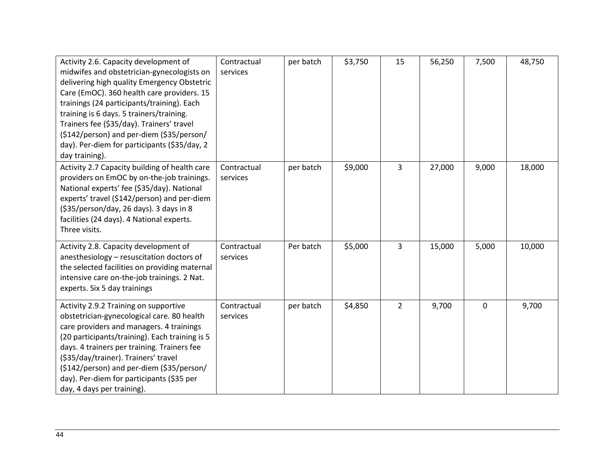| Activity 2.6. Capacity development of<br>midwifes and obstetrician-gynecologists on<br>delivering high quality Emergency Obstetric<br>Care (EmOC). 360 health care providers. 15<br>trainings (24 participants/training). Each<br>training is 6 days. 5 trainers/training.<br>Trainers fee (\$35/day). Trainers' travel<br>(\$142/person) and per-diem (\$35/person/<br>day). Per-diem for participants (\$35/day, 2<br>day training). | Contractual<br>services | per batch | \$3,750 | 15             | 56,250 | 7,500 | 48,750 |
|----------------------------------------------------------------------------------------------------------------------------------------------------------------------------------------------------------------------------------------------------------------------------------------------------------------------------------------------------------------------------------------------------------------------------------------|-------------------------|-----------|---------|----------------|--------|-------|--------|
| Activity 2.7 Capacity building of health care<br>providers on EmOC by on-the-job trainings.<br>National experts' fee (\$35/day). National<br>experts' travel (\$142/person) and per-diem<br>(\$35/person/day, 26 days). 3 days in 8<br>facilities (24 days). 4 National experts.<br>Three visits.                                                                                                                                      | Contractual<br>services | per batch | \$9,000 | $\overline{3}$ | 27,000 | 9,000 | 18,000 |
| Activity 2.8. Capacity development of<br>anesthesiology - resuscitation doctors of<br>the selected facilities on providing maternal<br>intensive care on-the-job trainings. 2 Nat.<br>experts. Six 5 day trainings                                                                                                                                                                                                                     | Contractual<br>services | Per batch | \$5,000 | 3              | 15,000 | 5,000 | 10,000 |
| Activity 2.9.2 Training on supportive<br>obstetrician-gynecological care. 80 health<br>care providers and managers. 4 trainings<br>(20 participants/training). Each training is 5<br>days. 4 trainers per training. Trainers fee<br>(\$35/day/trainer). Trainers' travel<br>(\$142/person) and per-diem (\$35/person/<br>day). Per-diem for participants (\$35 per<br>day, 4 days per training).                                       | Contractual<br>services | per batch | \$4,850 | $\overline{2}$ | 9,700  | 0     | 9,700  |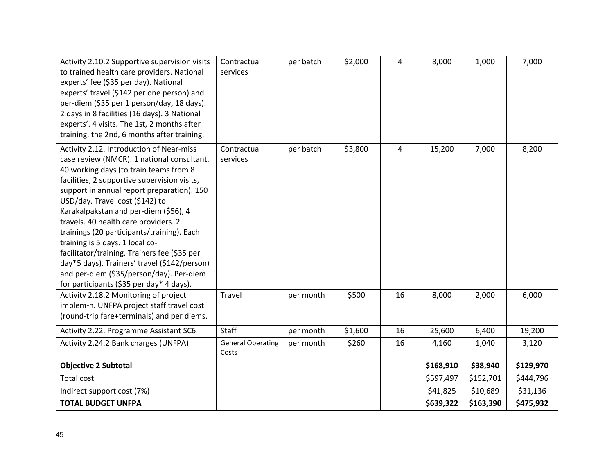| Activity 2.10.2 Supportive supervision visits<br>to trained health care providers. National<br>experts' fee (\$35 per day). National<br>experts' travel (\$142 per one person) and<br>per-diem (\$35 per 1 person/day, 18 days).<br>2 days in 8 facilities (16 days). 3 National<br>experts'. 4 visits. The 1st, 2 months after<br>training, the 2nd, 6 months after training.                                                                                                                                                                                                                                              | Contractual<br>services           | per batch | \$2,000 | 4  | 8,000     | 1,000     | 7,000     |
|-----------------------------------------------------------------------------------------------------------------------------------------------------------------------------------------------------------------------------------------------------------------------------------------------------------------------------------------------------------------------------------------------------------------------------------------------------------------------------------------------------------------------------------------------------------------------------------------------------------------------------|-----------------------------------|-----------|---------|----|-----------|-----------|-----------|
| Activity 2.12. Introduction of Near-miss<br>case review (NMCR). 1 national consultant.<br>40 working days (to train teams from 8<br>facilities, 2 supportive supervision visits,<br>support in annual report preparation). 150<br>USD/day. Travel cost (\$142) to<br>Karakalpakstan and per-diem (\$56), 4<br>travels. 40 health care providers. 2<br>trainings (20 participants/training). Each<br>training is 5 days. 1 local co-<br>facilitator/training. Trainers fee (\$35 per<br>day*5 days). Trainers' travel (\$142/person)<br>and per-diem (\$35/person/day). Per-diem<br>for participants (\$35 per day* 4 days). | Contractual<br>services           | per batch | \$3,800 | 4  | 15,200    | 7,000     | 8,200     |
| Activity 2.18.2 Monitoring of project<br>implem-n. UNFPA project staff travel cost<br>(round-trip fare+terminals) and per diems.                                                                                                                                                                                                                                                                                                                                                                                                                                                                                            | Travel                            | per month | \$500   | 16 | 8,000     | 2,000     | 6,000     |
| Activity 2.22. Programme Assistant SC6                                                                                                                                                                                                                                                                                                                                                                                                                                                                                                                                                                                      | Staff                             | per month | \$1,600 | 16 | 25,600    | 6,400     | 19,200    |
| Activity 2.24.2 Bank charges (UNFPA)                                                                                                                                                                                                                                                                                                                                                                                                                                                                                                                                                                                        | <b>General Operating</b><br>Costs | per month | \$260   | 16 | 4,160     | 1,040     | 3,120     |
| <b>Objective 2 Subtotal</b>                                                                                                                                                                                                                                                                                                                                                                                                                                                                                                                                                                                                 |                                   |           |         |    | \$168,910 | \$38,940  | \$129,970 |
| Total cost                                                                                                                                                                                                                                                                                                                                                                                                                                                                                                                                                                                                                  |                                   |           |         |    | \$597,497 | \$152,701 | \$444,796 |
| Indirect support cost (7%)                                                                                                                                                                                                                                                                                                                                                                                                                                                                                                                                                                                                  |                                   |           |         |    | \$41,825  | \$10,689  | \$31,136  |
| <b>TOTAL BUDGET UNFPA</b>                                                                                                                                                                                                                                                                                                                                                                                                                                                                                                                                                                                                   |                                   |           |         |    | \$639,322 | \$163,390 | \$475,932 |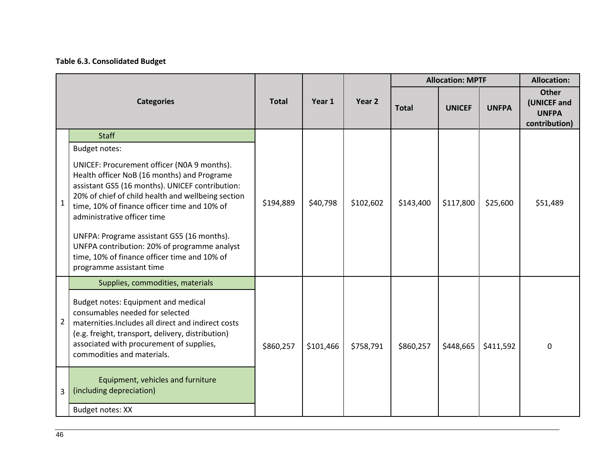# **Table 6.3. Consolidated Budget**

|                |                                                                                                                                                                                                                                                                                                                                                                                                                                                              |              |           |           | <b>Allocation: MPTF</b> |               |              | <b>Allocation:</b>                                           |
|----------------|--------------------------------------------------------------------------------------------------------------------------------------------------------------------------------------------------------------------------------------------------------------------------------------------------------------------------------------------------------------------------------------------------------------------------------------------------------------|--------------|-----------|-----------|-------------------------|---------------|--------------|--------------------------------------------------------------|
|                | <b>Categories</b>                                                                                                                                                                                                                                                                                                                                                                                                                                            | <b>Total</b> | Year 1    | Year 2    | <b>Total</b>            | <b>UNICEF</b> | <b>UNFPA</b> | <b>Other</b><br>(UNICEF and<br><b>UNFPA</b><br>contribution) |
|                | <b>Staff</b>                                                                                                                                                                                                                                                                                                                                                                                                                                                 |              |           |           |                         |               |              |                                                              |
|                | Budget notes:                                                                                                                                                                                                                                                                                                                                                                                                                                                |              |           |           |                         |               |              |                                                              |
| 1              | UNICEF: Procurement officer (NOA 9 months).<br>Health officer NoB (16 months) and Programe<br>assistant GS5 (16 months). UNICEF contribution:<br>20% of chief of child health and wellbeing section<br>time, 10% of finance officer time and 10% of<br>administrative officer time<br>UNFPA: Programe assistant GS5 (16 months).<br>UNFPA contribution: 20% of programme analyst<br>time, 10% of finance officer time and 10% of<br>programme assistant time | \$194,889    | \$40,798  | \$102,602 | \$143,400               | \$117,800     | \$25,600     | \$51,489                                                     |
|                | Supplies, commodities, materials                                                                                                                                                                                                                                                                                                                                                                                                                             |              |           |           |                         |               |              |                                                              |
| $\overline{2}$ | Budget notes: Equipment and medical<br>consumables needed for selected<br>maternities. Includes all direct and indirect costs<br>(e.g. freight, transport, delivery, distribution)<br>associated with procurement of supplies,<br>commodities and materials.                                                                                                                                                                                                 | \$860,257    | \$101,466 | \$758,791 | \$860,257               | \$448,665     | \$411,592    | $\Omega$                                                     |
| 3              | Equipment, vehicles and furniture<br>(including depreciation)                                                                                                                                                                                                                                                                                                                                                                                                |              |           |           |                         |               |              |                                                              |
|                | Budget notes: XX                                                                                                                                                                                                                                                                                                                                                                                                                                             |              |           |           |                         |               |              |                                                              |